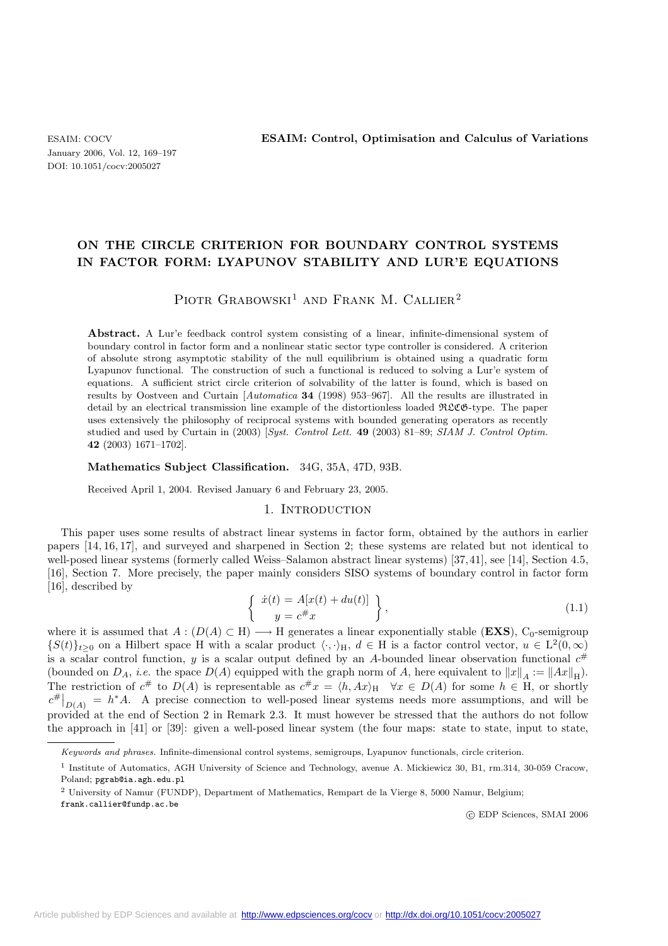# **ON THE CIRCLE CRITERION FOR BOUNDARY CONTROL SYSTEMS IN FACTOR FORM: LYAPUNOV STABILITY AND LUR'E EQUATIONS**

# PIOTR GRABOWSKI<sup>1</sup> AND FRANK M. CALLIER<sup>2</sup>

Abstract. A Lur'e feedback control system consisting of a linear, infinite-dimensional system of boundary control in factor form and a nonlinear static sector type controller is considered. A criterion of absolute strong asymptotic stability of the null equilibrium is obtained using a quadratic form Lyapunov functional. The construction of such a functional is reduced to solving a Lur'e system of equations. A sufficient strict circle criterion of solvability of the latter is found, which is based on results by Oostveen and Curtain [*Automatica* **34** (1998) 953–967]. All the results are illustrated in detail by an electrical transmission line example of the distortionless loaded RLCG-type. The paper uses extensively the philosophy of reciprocal systems with bounded generating operators as recently studied and used by Curtain in (2003) [*Syst. Control Lett.* **49** (2003) 81–89; *SIAM J. Control Optim.* **42** (2003) 1671–1702].

#### **Mathematics Subject Classification.** 34G, 35A, 47D, 93B.

Received April 1, 2004. Revised January 6 and February 23, 2005.

#### 1. INTRODUCTION

This paper uses some results of abstract linear systems in factor form, obtained by the authors in earlier papers [14, 16, 17], and surveyed and sharpened in Section 2; these systems are related but not identical to well-posed linear systems (formerly called Weiss–Salamon abstract linear systems) [37, 41], see [14], Section 4.5, [16], Section 7. More precisely, the paper mainly considers SISO systems of boundary control in factor form [16], described by

$$
\begin{cases}\n\dot{x}(t) = A[x(t) + du(t)] \\
y = c^{\#}x\n\end{cases},
$$
\n(1.1)

where it is assumed that  $A : (D(A) \subset H) \longrightarrow H$  generates a linear exponentially stable (**EXS**), C<sub>0</sub>-semigroup  ${S(t)}_{t>0}$  on a Hilbert space H with a scalar product  $\langle \cdot, \cdot \rangle_H$ ,  $d \in H$  is a factor control vector,  $u \in L^2(0,\infty)$ is a scalar control function, y is a scalar output defined by an A-bounded linear observation functional  $c^{\#}$ (bounded on  $D_A$ , *i.e.* the space  $D(A)$  equipped with the graph norm of A, here equivalent to  $||x||_A := ||Ax||_H$ ). The restriction of  $c^{\#}$  to  $D(A)$  is representable as  $c^{\#}x = \langle h, Ax \rangle_H \quad \forall x \in D(A)$  for some  $h \in H$ , or shortly  $c^{\#}|_{D(A)} = h^*A$ . A precise connection to well-posed linear systems needs more assumptions, and will be provided at the end of Section 2 in Remark 2.3. It must however be stressed that the authors do not follow the approach in [41] or [39]: given a well-posed linear system (the four maps: state to state, input to state,

frank.callier@fundp.ac.be

c EDP Sciences, SMAI 2006

Keywords and phrases. Infinite-dimensional control systems, semigroups, Lyapunov functionals, circle criterion.

<sup>1</sup> Institute of Automatics, AGH University of Science and Technology, avenue A. Mickiewicz 30, B1, rm.314, 30-059 Cracow, Poland; pgrab@ia.agh.edu.pl

<sup>2</sup> University of Namur (FUNDP), Department of Mathematics, Rempart de la Vierge 8, 5000 Namur, Belgium;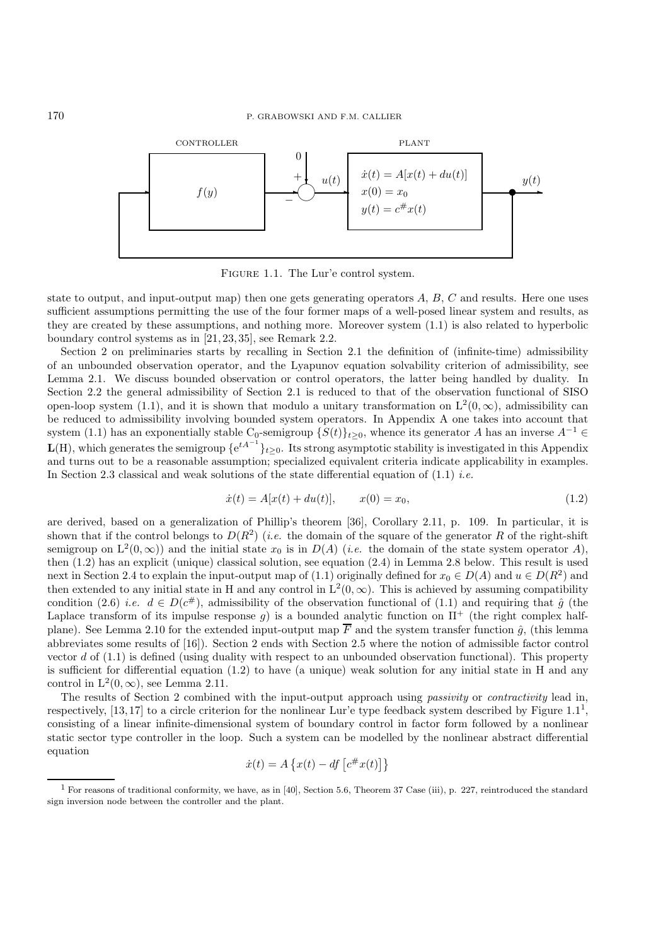

FIGURE 1.1. The Lur'e control system.

state to output, and input-output map) then one gets generating operators  $A, B, C$  and results. Here one uses sufficient assumptions permitting the use of the four former maps of a well-posed linear system and results, as they are created by these assumptions, and nothing more. Moreover system (1.1) is also related to hyperbolic boundary control systems as in [21, 23, 35], see Remark 2.2.

Section 2 on preliminaries starts by recalling in Section 2.1 the definition of (infinite-time) admissibility of an unbounded observation operator, and the Lyapunov equation solvability criterion of admissibility, see Lemma 2.1. We discuss bounded observation or control operators, the latter being handled by duality. In Section 2.2 the general admissibility of Section 2.1 is reduced to that of the observation functional of SISO open-loop system (1.1), and it is shown that modulo a unitary transformation on  $L^2(0,\infty)$ , admissibility can be reduced to admissibility involving bounded system operators. In Appendix A one takes into account that system (1.1) has an exponentially stable C<sub>0</sub>-semigroup  $\{S(t)\}_{t\geq 0}$ , whence its generator A has an inverse  $A^{-1} \in$  $L(H)$ , which generates the semigroup  $\{e^{tA^{-1}}\}_{t\geq 0}$ . Its strong asymptotic stability is investigated in this Appendix and turns out to be a reasonable assumption; specialized equivalent criteria indicate applicability in examples. In Section 2.3 classical and weak solutions of the state differential equation of (1.1) *i.e.*

$$
\dot{x}(t) = A[x(t) + du(t)], \qquad x(0) = x_0,\tag{1.2}
$$

are derived, based on a generalization of Phillip's theorem [36], Corollary 2.11, p. 109. In particular, it is shown that if the control belongs to  $D(R^2)$  (*i.e.* the domain of the square of the generator R of the right-shift semigroup on  $L^2(0,\infty)$ ) and the initial state  $x_0$  is in  $D(A)$  (*i.e.* the domain of the state system operator A), then (1.2) has an explicit (unique) classical solution, see equation (2.4) in Lemma 2.8 below. This result is used next in Section 2.4 to explain the input-output map of (1.1) originally defined for  $x_0 \in D(A)$  and  $u \in D(R^2)$  and then extended to any initial state in H and any control in  $L^2(0,\infty)$ . This is achieved by assuming compatibility condition (2.6) *i.e.*  $d \in D(c^{\#})$ , admissibility of the observation functional of (1.1) and requiring that  $\hat{g}$  (the Laplace transform of its impulse response g) is a bounded analytic function on  $\Pi^+$  (the right complex halfplane). See Lemma 2.10 for the extended input-output map  $\overline{F}$  and the system transfer function  $\hat{g}$ , (this lemma abbreviates some results of [16]). Section 2 ends with Section 2.5 where the notion of admissible factor control vector  $d$  of  $(1.1)$  is defined (using duality with respect to an unbounded observation functional). This property is sufficient for differential equation (1.2) to have (a unique) weak solution for any initial state in H and any control in  $L^2(0,\infty)$ , see Lemma 2.11.

The results of Section 2 combined with the input-output approach using *passivity* or *contractivity* lead in, respectively, [13, 17] to a circle criterion for the nonlinear Lur'e type feedback system described by Figure  $1.1<sup>1</sup>$ , consisting of a linear infinite-dimensional system of boundary control in factor form followed by a nonlinear static sector type controller in the loop. Such a system can be modelled by the nonlinear abstract differential equation

$$
\dot{x}(t) = A\left\{x(t) - df\left[c^{\#}x(t)\right]\right\}
$$

 $1$  For reasons of traditional conformity, we have, as in [40], Section 5.6, Theorem 37 Case (iii), p. 227, reintroduced the standard sign inversion node between the controller and the plant.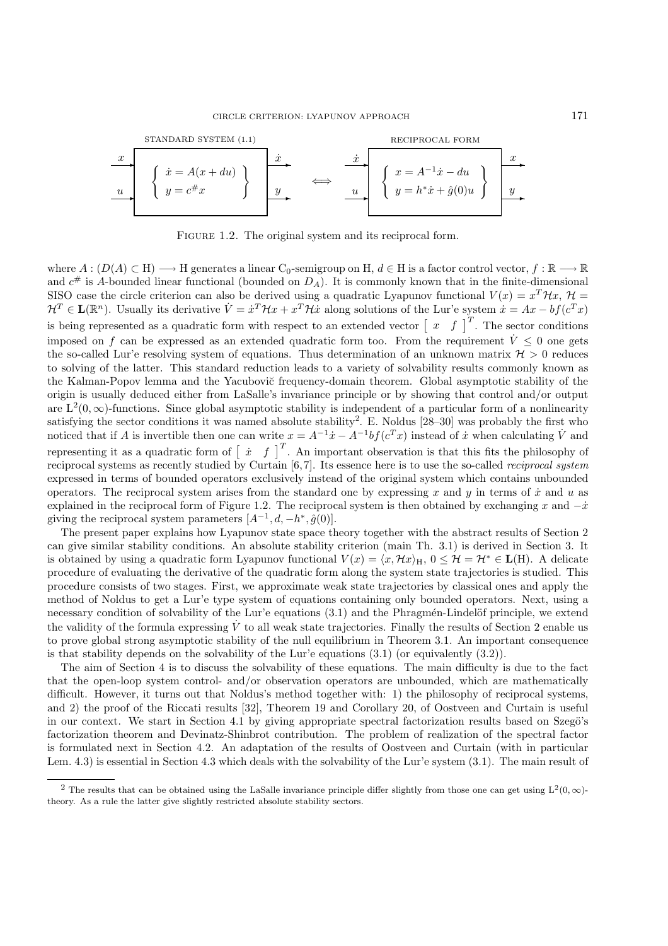

FIGURE 1.2. The original system and its reciprocal form.

where  $A: (D(A) \subset H) \longrightarrow H$  generates a linear C<sub>0</sub>-semigroup on H,  $d \in H$  is a factor control vector,  $f: \mathbb{R} \longrightarrow \mathbb{R}$ and  $c^{\#}$  is A-bounded linear functional (bounded on  $D_A$ ). It is commonly known that in the finite-dimensional SISO case the circle criterion can also be derived using a quadratic Lyapunov functional  $V(x) = x^T \mathcal{H} x$ ,  $\mathcal{H} =$  $\mathcal{H}^T \in \mathbf{L}(\mathbb{R}^n)$ . Usually its derivative  $\dot{V} = \dot{x}^T \mathcal{H} x + x^T \mathcal{H} \dot{x}$  along solutions of the Lur'e system  $\dot{x} = Ax - bf(c^T x)$ is being represented as a quadratic form with respect to an extended vector  $\begin{bmatrix} x & f \end{bmatrix}^T$ . The sector conditions imposed on f can be expressed as an extended quadratic form too. From the requirement  $\dot{V} \leq 0$  one gets the so-called Lur'e resolving system of equations. Thus determination of an unknown matrix  $\mathcal{H} > 0$  reduces to solving of the latter. This standard reduction leads to a variety of solvability results commonly known as the Kalman-Popov lemma and the Yacubovič frequency-domain theorem. Global asymptotic stability of the origin is usually deduced either from LaSalle's invariance principle or by showing that control and/or output are  $L^2(0,\infty)$ -functions. Since global asymptotic stability is independent of a particular form of a nonlinearity satisfying the sector conditions it was named absolute stability<sup>2</sup>. E. Noldus  $[28-30]$  was probably the first who noticed that if A is invertible then one can write  $x = A^{-1}\dot{x} - A^{-1}bf(c^Tx)$  instead of  $\dot{x}$  when calculating  $\dot{V}$  and representing it as a quadratic form of  $\begin{bmatrix} \dot{x} & f \end{bmatrix}^T$ . An important observation is that this fits the philosophy of reciprocal systems as recently studied by Curtain [6, 7]. Its essence here is to use the so-called *reciprocal system* expressed in terms of bounded operators exclusively instead of the original system which contains unbounded operators. The reciprocal system arises from the standard one by expressing x and y in terms of  $\dot{x}$  and u as explained in the reciprocal form of Figure 1.2. The reciprocal system is then obtained by exchanging x and  $-\dot{x}$ giving the reciprocal system parameters  $[A^{-1}, d, -h^*, \hat{g}(0)].$ 

The present paper explains how Lyapunov state space theory together with the abstract results of Section 2 can give similar stability conditions. An absolute stability criterion (main Th. 3.1) is derived in Section 3. It is obtained by using a quadratic form Lyapunov functional  $V(x) = \langle x, \mathcal{H}x \rangle_H$ ,  $0 \leq \mathcal{H} = \mathcal{H}^* \in L(H)$ . A delicate procedure of evaluating the derivative of the quadratic form along the system state trajectories is studied. This procedure consists of two stages. First, we approximate weak state trajectories by classical ones and apply the method of Noldus to get a Lur'e type system of equations containing only bounded operators. Next, using a necessary condition of solvability of the Lur'e equations (3.1) and the Phragmén-Lindelöf principle, we extend the validity of the formula expressing V to all weak state trajectories. Finally the results of Section 2 enable us to prove global strong asymptotic stability of the null equilibrium in Theorem 3.1. An important consequence is that stability depends on the solvability of the Lur'e equations (3.1) (or equivalently (3.2)).

The aim of Section 4 is to discuss the solvability of these equations. The main difficulty is due to the fact that the open-loop system control- and/or observation operators are unbounded, which are mathematically difficult. However, it turns out that Noldus's method together with: 1) the philosophy of reciprocal systems, and 2) the proof of the Riccati results [32], Theorem 19 and Corollary 20, of Oostveen and Curtain is useful in our context. We start in Section 4.1 by giving appropriate spectral factorization results based on Szegö's factorization theorem and Devinatz-Shinbrot contribution. The problem of realization of the spectral factor is formulated next in Section 4.2. An adaptation of the results of Oostveen and Curtain (with in particular Lem. 4.3) is essential in Section 4.3 which deals with the solvability of the Lur'e system (3.1). The main result of

<sup>&</sup>lt;sup>2</sup> The results that can be obtained using the LaSalle invariance principle differ slightly from those one can get using  $L^2(0, \infty)$ theory. As a rule the latter give slightly restricted absolute stability sectors.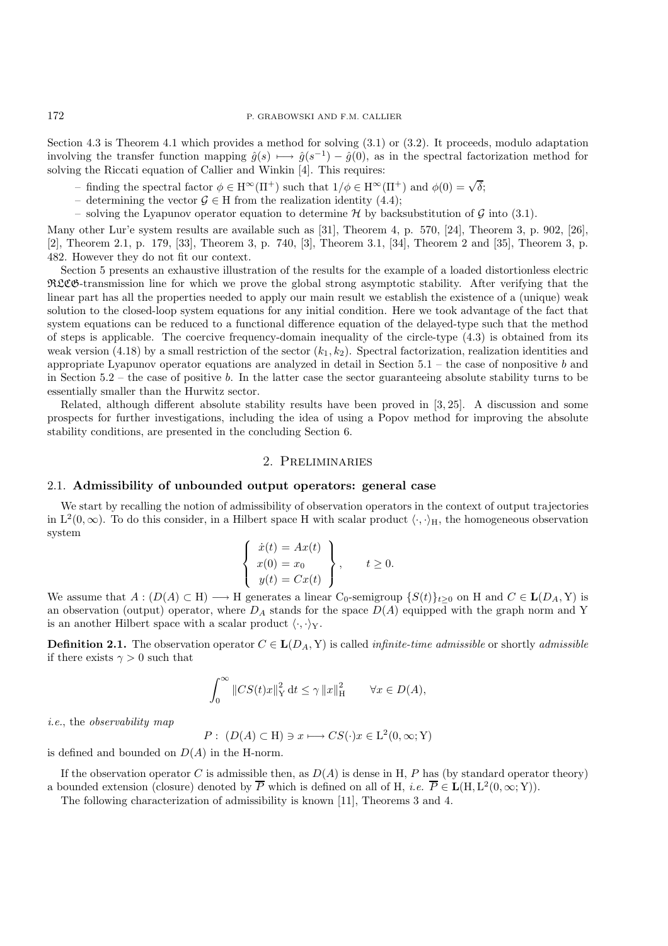Section 4.3 is Theorem 4.1 which provides a method for solving (3.1) or (3.2). It proceeds, modulo adaptation involving the transfer function mapping  $\hat{g}(s) \longmapsto \hat{g}(s^{-1}) - \hat{g}(0)$ , as in the spectral factorization method for solving the Riccati equation of Callier and Winkin [4]. This requires:

- finding the spectral factor  $\phi \in H^{\infty}(\Pi^+)$  such that  $1/\phi \in H^{\infty}(\Pi^+)$  and  $\phi(0) = \sqrt{\delta}$ ;
- determining the vector  $\mathcal{G} \in \mathcal{H}$  from the realization identity (4.4);
- solving the Lyapunov operator equation to determine  $\mathcal H$  by backsubstitution of  $\mathcal G$  into (3.1).

Many other Lur'e system results are available such as [31], Theorem 4, p. 570, [24], Theorem 3, p. 902, [26], [2], Theorem 2.1, p. 179, [33], Theorem 3, p. 740, [3], Theorem 3.1, [34], Theorem 2 and [35], Theorem 3, p. 482. However they do not fit our context.

Section 5 presents an exhaustive illustration of the results for the example of a loaded distortionless electric RLCG-transmission line for which we prove the global strong asymptotic stability. After verifying that the linear part has all the properties needed to apply our main result we establish the existence of a (unique) weak solution to the closed-loop system equations for any initial condition. Here we took advantage of the fact that system equations can be reduced to a functional difference equation of the delayed-type such that the method of steps is applicable. The coercive frequency-domain inequality of the circle-type (4.3) is obtained from its weak version (4.18) by a small restriction of the sector  $(k_1, k_2)$ . Spectral factorization, realization identities and appropriate Lyapunov operator equations are analyzed in detail in Section 5.1 – the case of nonpositive b and in Section  $5.2$  – the case of positive b. In the latter case the sector guaranteeing absolute stability turns to be essentially smaller than the Hurwitz sector.

Related, although different absolute stability results have been proved in [3, 25]. A discussion and some prospects for further investigations, including the idea of using a Popov method for improving the absolute stability conditions, are presented in the concluding Section 6.

## 2. Preliminaries

## 2.1. **Admissibility of unbounded output operators: general case**

We start by recalling the notion of admissibility of observation operators in the context of output trajectories in  $L^2(0,\infty)$ . To do this consider, in a Hilbert space H with scalar product  $\langle \cdot, \cdot \rangle_H$ , the homogeneous observation system

$$
\begin{cases}\n\dot{x}(t) = Ax(t) \\
x(0) = x_0 \\
y(t) = Cx(t)\n\end{cases}, \quad t \ge 0.
$$

We assume that  $A: (D(A) \subset H) \longrightarrow H$  generates a linear C<sub>0</sub>-semigroup  $\{S(t)\}_{t>0}$  on H and  $C \in L(D_A, Y)$  is an observation (output) operator, where  $D_A$  stands for the space  $D(A)$  equipped with the graph norm and Y is an another Hilbert space with a scalar product  $\langle \cdot, \cdot \rangle_Y$ .

**Definition 2.1.** The observation operator  $C \in L(D_A, Y)$  is called *infinite-time admissible* or shortly *admissible* if there exists  $\gamma > 0$  such that

$$
\int_0^\infty \|CS(t)x\|_Y^2 dt \le \gamma \|x\|_H^2 \qquad \forall x \in D(A),
$$

*i.e.*, the *observability map*

$$
P: (D(A) \subset H) \ni x \longmapsto CS(\cdot)x \in L^{2}(0, \infty; Y)
$$

is defined and bounded on  $D(A)$  in the H-norm.

If the observation operator C is admissible then, as  $D(A)$  is dense in H, P has (by standard operator theory) a bounded extension (closure) denoted by  $\overline{P}$  which is defined on all of H, *i.e.*  $\overline{P} \in L(H, L^2(0, \infty; Y)).$ 

The following characterization of admissibility is known [11], Theorems 3 and 4.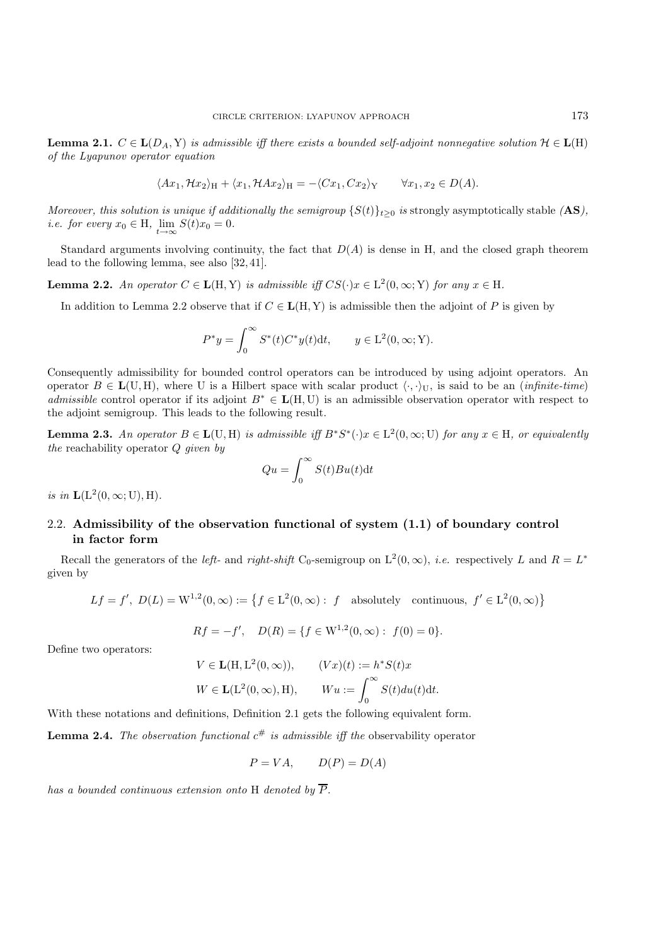**Lemma 2.1.**  $C \in L(D_A, Y)$  *is admissible iff there exists a bounded self-adjoint nonnegative solution*  $H \in L(H)$ *of the Lyapunov operator equation*

$$
\langle Ax_1, \mathcal{H}x_2 \rangle_H + \langle x_1, \mathcal{H}Ax_2 \rangle_H = -\langle Cx_1, Cx_2 \rangle_Y \qquad \forall x_1, x_2 \in D(A).
$$

*Moreover, this solution is unique if additionally the semigroup*  $\{S(t)\}_t>0$  *is* strongly asymptotically stable  $(AS)$ , *i.e. for every*  $x_0 \in H$ ,  $\lim_{t \to \infty} S(t)x_0 = 0$ .

Standard arguments involving continuity, the fact that  $D(A)$  is dense in H, and the closed graph theorem lead to the following lemma, see also [32, 41].

**Lemma 2.2.** *An operator*  $C \in L(H, Y)$  *is admissible iff*  $CS(\cdot)x \in L^2(0, \infty; Y)$  *for any*  $x \in H$ *.* 

In addition to Lemma 2.2 observe that if  $C \in L(H, Y)$  is admissible then the adjoint of P is given by

$$
P^*y = \int_0^\infty S^*(t)C^*y(t)dt, \qquad y \in \mathcal{L}^2(0,\infty;\mathcal{Y}).
$$

Consequently admissibility for bounded control operators can be introduced by using adjoint operators. An operator  $B \in L(U, H)$ , where U is a Hilbert space with scalar product  $\langle \cdot, \cdot \rangle_U$ , is said to be an *(infinite-time) admissible* control operator if its adjoint B<sup>∗</sup> ∈ **L**(H, U) is an admissible observation operator with respect to the adjoint semigroup. This leads to the following result.

**Lemma 2.3.** *An operator*  $B \in L(U, H)$  *is admissible iff*  $B^*S^*(\cdot)x \in L^2(0, \infty; U)$  *for any*  $x \in H$ *, or equivalently the* reachability operator Q *given by*

$$
Qu = \int_0^\infty S(t)Bu(t)dt
$$

*is in*  $\mathbf{L}(L^2(0,\infty;U),H)$ .

# 2.2. **Admissibility of the observation functional of system (1.1) of boundary control in factor form**

Recall the generators of the *left-* and *right-shift* C<sub>0</sub>-semigroup on  $L^2(0,\infty)$ , *i.e.* respectively L and  $R = L^*$ given by

$$
Lf = f', D(L) = W^{1,2}(0, \infty) := \left\{ f \in L^2(0, \infty) : f \text{ absolutely continuous, } f' \in L^2(0, \infty) \right\}
$$

$$
Rf = -f', \quad D(R) = \{ f \in W^{1,2}(0, \infty) : f(0) = 0 \}.
$$

Define two operators:

$$
V \in \mathbf{L}(\mathbf{H}, \mathbf{L}^2(0, \infty)), \qquad (Vx)(t) := h^* S(t)x
$$
  

$$
W \in \mathbf{L}(\mathbf{L}^2(0, \infty), \mathbf{H}), \qquad Wu := \int_0^\infty S(t) du(t) dt.
$$

With these notations and definitions, Definition 2.1 gets the following equivalent form.

**Lemma 2.4.** *The observation functional*  $c^{\#}$  *is admissible iff the* observability operator

$$
P = VA, \qquad D(P) = D(A)
$$

*has a bounded continuous extension onto* H *denoted by*  $\overline{P}$ *.*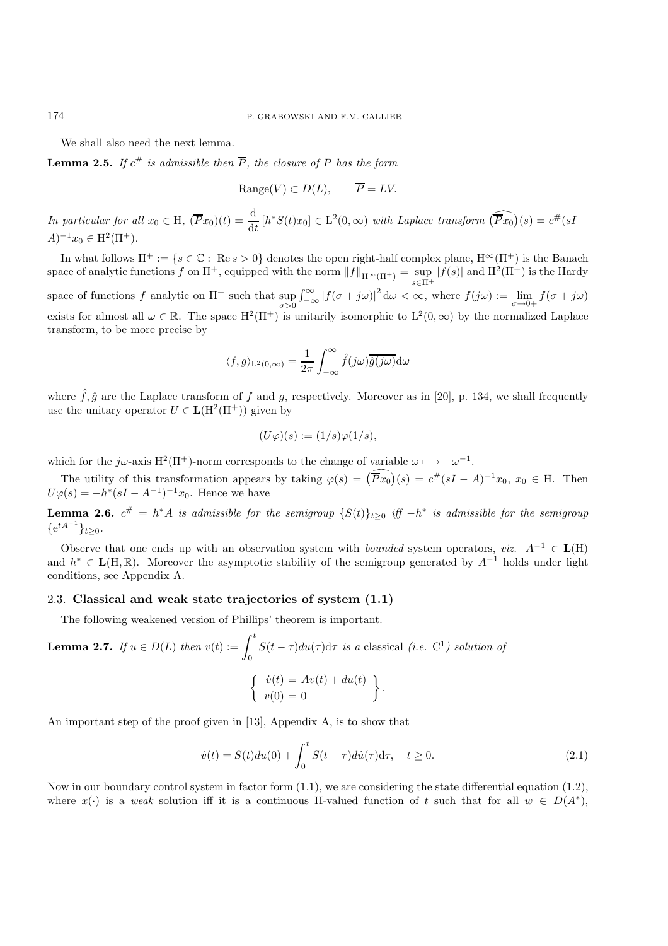We shall also need the next lemma.

**Lemma 2.5.** *If*  $c^{\#}$  *is admissible then*  $\overline{P}$ *, the closure of*  $P$  *has the form* 

$$
Range(V) \subset D(L), \qquad \overline{P} = LV.
$$

*In particular for all*  $x_0 \in H$ ,  $(\overline{P}x_0)(t) = \frac{d}{dt} [h^*S(t)x_0] \in L^2(0, \infty)$  *with Laplace transform*  $(\widehat{Px_0})(s) = c^*(sI - \overline{R})$  $A^{-1}x_0 \in H^2(\Pi^+).$ 

In what follows  $\Pi^+ := \{s \in \mathbb{C} : \text{Re } s > 0\}$  denotes the open right-half complex plane,  $H^\infty(\Pi^+)$  is the Banach space of analytic functions f on  $\Pi^+$ , equipped with the norm  $||f||_{H^{\infty}(\Pi^+)} = \sup_{s \in \Pi^+} |f(s)|$  and  $H^2(\Pi^+)$  is the Hardy space of functions f analytic on  $\Pi^+$  such that sup  $\int_{-\infty}^{\infty} |f(\sigma + j\omega)|^2 d\omega < \infty$ , where  $f(j\omega) := \lim_{\sigma \to 0+} f(\sigma + j\omega)$ exists for almost all  $\omega \in \mathbb{R}$ . The space  $H^2(\Pi^+)$  is unitarily isomorphic to  $L^2(0,\infty)$  by the normalized Laplace transform, to be more precise by

$$
\langle f, g \rangle_{\mathcal{L}^2(0,\infty)} = \frac{1}{2\pi} \int_{-\infty}^{\infty} \hat{f}(j\omega) \overline{\hat{g}(j\omega)} \mathrm{d}\omega
$$

where  $\hat{f}, \hat{g}$  are the Laplace transform of f and g, respectively. Moreover as in [20], p. 134, we shall frequently use the unitary operator  $U \in L(H^2(\Pi^+))$  given by

$$
(U\varphi)(s) := (1/s)\varphi(1/s),
$$

which for the j $\omega$ -axis H<sup>2</sup>( $\Pi$ <sup>+</sup>)-norm corresponds to the change of variable  $\omega \mapsto -\omega^{-1}$ .

The utility of this transformation appears by taking  $\varphi(s) = (\overline{P}x_0)(s) = c^{\#}(sI - A)^{-1}x_0, x_0 \in H$ . Then  $U\varphi(s) = -h^*(sI - A^{-1})^{-1}x_0$ . Hence we have

**Lemma 2.6.**  $c^{\#} = h^*A$  *is admissible for the semigroup*  $\{S(t)\}_{t\geq 0}$  *iff*  $-h^*$  *is admissible for the semigroup*  ${e^{tA^{-1}}}_{t\geq 0}$ .

Observe that one ends up with an observation system with *bounded* system operators, *viz.* A−<sup>1</sup> ∈ **L**(H) and h<sup>∗</sup> ∈ **L**(H, R). Moreover the asymptotic stability of the semigroup generated by A−<sup>1</sup> holds under light conditions, see Appendix A.

## 2.3. **Classical and weak state trajectories of system (1.1)**

The following weakened version of Phillips' theorem is important.

**Lemma 2.7.** If 
$$
u \in D(L)
$$
 then  $v(t) := \int_0^t S(t - \tau) du(\tau) d\tau$  is a classical (i.e. C<sup>1</sup>) solution of  

$$
\begin{cases} \dot{v}(t) = Av(t) + du(t) \\ v(0) = 0 \end{cases}.
$$

An important step of the proof given in [13], Appendix A, is to show that

$$
\dot{v}(t) = S(t)du(0) + \int_0^t S(t-\tau)di(\tau)d\tau, \quad t \ge 0.
$$
\n(2.1)

Now in our boundary control system in factor form  $(1.1)$ , we are considering the state differential equation  $(1.2)$ , where  $x(\cdot)$  is a *weak* solution iff it is a continuous H-valued function of t such that for all  $w \in D(A^*)$ ,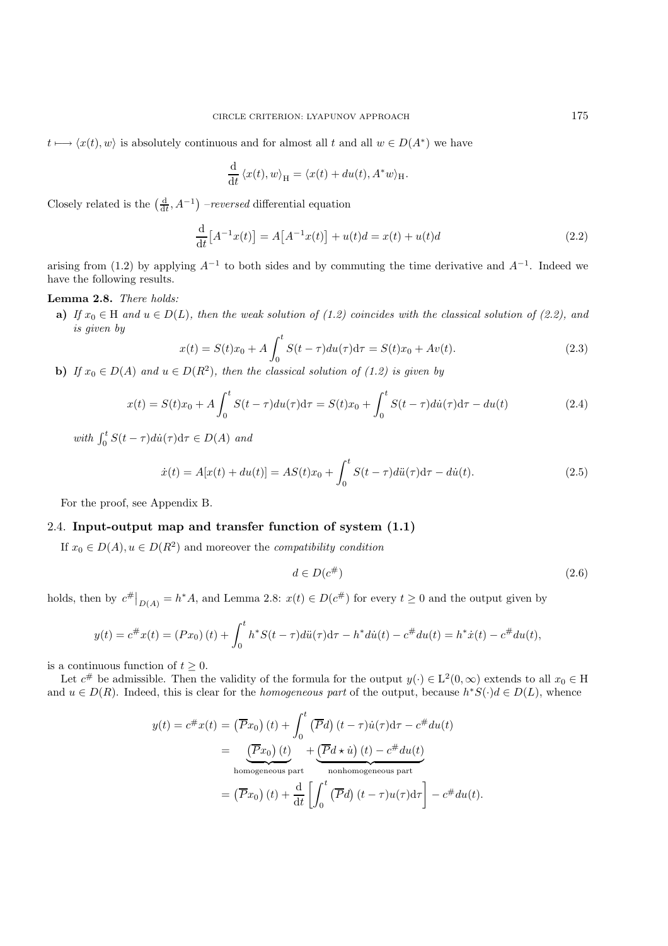$t \mapsto \langle x(t), w \rangle$  is absolutely continuous and for almost all t and all  $w \in D(A^*)$  we have

$$
\frac{\mathrm{d}}{\mathrm{d}t} \langle x(t), w \rangle_{\mathrm{H}} = \langle x(t) + du(t), A^*w \rangle_{\mathrm{H}}.
$$

Closely related is the  $\left(\frac{d}{dt}, A^{-1}\right)$  *–reversed* differential equation

$$
\frac{d}{dt}[A^{-1}x(t)] = A[A^{-1}x(t)] + u(t)d = x(t) + u(t)d
$$
\n(2.2)

arising from (1.2) by applying  $A^{-1}$  to both sides and by commuting the time derivative and  $A^{-1}$ . Indeed we have the following results.

## **Lemma 2.8.** *There holds:*

**a)** *If*  $x_0 \in H$  *and*  $u \in D(L)$ *, then the weak solution of (1.2) coincides with the classical solution of (2.2), and is given by*

$$
x(t) = S(t)x_0 + A \int_0^t S(t - \tau) du(\tau) d\tau = S(t)x_0 + Av(t).
$$
\n(2.3)

**b)** *If*  $x_0 \in D(A)$  and  $u \in D(R^2)$ , then the classical solution of (1.2) is given by

$$
x(t) = S(t)x_0 + A \int_0^t S(t - \tau) du(\tau) d\tau = S(t)x_0 + \int_0^t S(t - \tau) du(\tau) d\tau - du(t)
$$
\n(2.4)

*with*  $\int_0^t S(t-\tau) d\dot{u}(\tau) d\tau \in D(A)$  *and* 

$$
\dot{x}(t) = A[x(t) + du(t)] = AS(t)x_0 + \int_0^t S(t - \tau) \, d\ddot{u}(\tau) \, d\tau - d\dot{u}(t). \tag{2.5}
$$

For the proof, see Appendix B.

## 2.4. **Input-output map and transfer function of system (1.1)**

If  $x_0 \in D(A)$ ,  $u \in D(R^2)$  and moreover the *compatibility condition* 

$$
d \in D(c^{\#})
$$
\n<sup>(2.6)</sup>

holds, then by  $c^{\#}\big|_{D(A)} = h^*A$ , and Lemma 2.8:  $x(t) \in D(c^{\#})$  for every  $t \ge 0$  and the output given by

$$
y(t) = c^{\#}x(t) = (Px_0)(t) + \int_0^t h^*S(t-\tau)di(\tau)d\tau - h^*di(t) - c^{\#}du(t) = h^*x(t) - c^{\#}du(t),
$$

is a continuous function of  $t \geq 0$ .

Let  $c^{\#}$  be admissible. Then the validity of the formula for the output  $y(\cdot) \in L^2(0,\infty)$  extends to all  $x_0 \in H$ and  $u \in D(R)$ . Indeed, this is clear for the *homogeneous part* of the output, because  $h^*S(\cdot)d \in D(L)$ , whence

$$
y(t) = c^{\#}x(t) = (\overline{P}x_0)(t) + \int_0^t (\overline{P}d)(t - \tau)\dot{u}(\tau)d\tau - c^{\#}du(t)
$$
  
\n
$$
= (\overline{P}x_0)(t) + (\overline{P}d \star \dot{u})(t) - c^{\#}du(t)
$$
  
\nhomogeneous part  
\nnonhomogeneous part  
\n
$$
= (\overline{P}x_0)(t) + \frac{d}{dt} \left[ \int_0^t (\overline{P}d)(t - \tau)u(\tau)d\tau \right] - c^{\#}du(t).
$$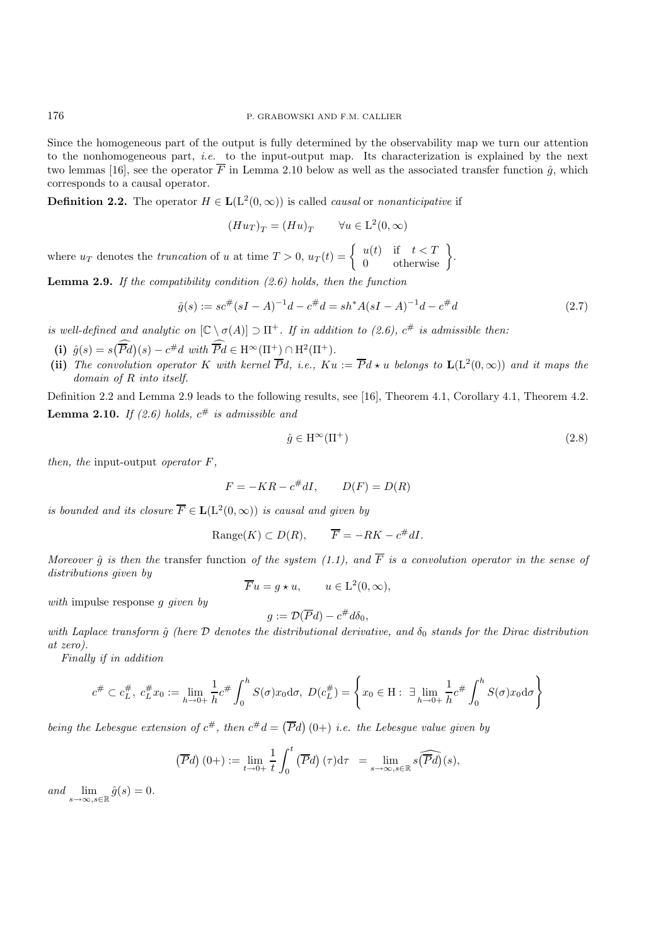Since the homogeneous part of the output is fully determined by the observability map we turn our attention to the nonhomogeneous part, *i.e.* to the input-output map. Its characterization is explained by the next two lemmas [16], see the operator  $\overline{F}$  in Lemma 2.10 below as well as the associated transfer function  $\hat{g}$ , which corresponds to a causal operator.

**Definition 2.2.** The operator  $H \in L(L^2(0,\infty))$  is called *causal* or *nonanticipative* if

$$
(Hu_T)_T = (Hu)_T \qquad \forall u \in \mathcal{L}^2(0,\infty)
$$

where  $u_T$  denotes the *truncation* of u at time  $T > 0$ ,  $u_T(t) = \begin{cases} u(t) & \text{if } t < T \\ 0 & \text{otherwise} \end{cases}$ .

**Lemma 2.9.** *If the compatibility condition (2.6) holds, then the function*

$$
\hat{g}(s) := sc^{\#}(sI - A)^{-1}d - c^{\#}d = sh^*A(sI - A)^{-1}d - c^{\#}d \tag{2.7}
$$

*is well-defined and analytic on*  $[\mathbb{C} \setminus \sigma(A)] \supset \Pi^+$ *. If in addition to (2.6),*  $c^{\#}$  *is admissible then:* 

- (i)  $\hat{g}(s) = s(\overline{P}d)(s) c^{\#}d$  with  $\overline{P}d \in H^{\infty}(\Pi^{+}) \cap H^{2}(\Pi^{+})$ .
- (ii) The convolution operator K with kernel  $\overline{P}d$ , i.e.,  $Ku := \overline{P}d \star u$  belongs to  $\mathbf{L}(L^2(0,\infty))$  and it maps the *domain of* R *into itself.*

Definition 2.2 and Lemma 2.9 leads to the following results, see [16], Theorem 4.1, Corollary 4.1, Theorem 4.2. **Lemma 2.10.** *If (2.6) holds,*  $c^{\#}$  *is admissible and* 

$$
\hat{g} \in \mathcal{H}^{\infty}(\Pi^{+})
$$
\n<sup>(2.8)</sup>

*then, the* input-output *operator* F*,*

$$
F = -KR - c^{\#}dI, \qquad D(F) = D(R)
$$

*is bounded and its closure*  $\overline{F} \in L(L^2(0,\infty))$  *is causal and given by* 

Range(K) 
$$
\subset D(R)
$$
,  $\overline{F} = -RK - c^{\#}dI$ .

*Moreover*  $\hat{q}$  *is then the* transfer function *of the system (1.1), and*  $\overline{F}$  *is a convolution operator in the sense of distributions given by*

$$
\overline{F}u = g \star u, \qquad u \in L^2(0, \infty),
$$

*with* impulse response g *given by*

$$
g := \mathcal{D}(\overline{P}d) - c^{\#}d\delta_0,
$$

*with Laplace transform*  $\hat{g}$  (here  $D$  denotes the distributional derivative, and  $\delta_0$  stands for the Dirac distribution *at zero).*

*Finally if in addition*

$$
c^{\#} \subset c^{\#}_{L}, \ c^{\#}_{L} x_{0} := \lim_{h \to 0+} \frac{1}{h} c^{\#} \int_{0}^{h} S(\sigma) x_{0} d\sigma, \ D(c^{\#}_{L}) = \left\{ x_{0} \in H : \ \exists \lim_{h \to 0+} \frac{1}{h} c^{\#} \int_{0}^{h} S(\sigma) x_{0} d\sigma \right\}
$$

being the Lebesgue extension of  $c^{\#}$ , then  $c^{\#}d = (\overline{P}d)(0+)$  *i.e.* the Lebesgue value given by

$$
(\overline{P}d)(0+) := \lim_{t \to 0+} \frac{1}{t} \int_0^t (\overline{P}d)(\tau) d\tau = \lim_{s \to \infty, s \in \mathbb{R}} s(\widehat{\overline{P}d})(s),
$$

 $and \lim_{s\to\infty, s\in\mathbb{R}} \hat{g}(s)=0.$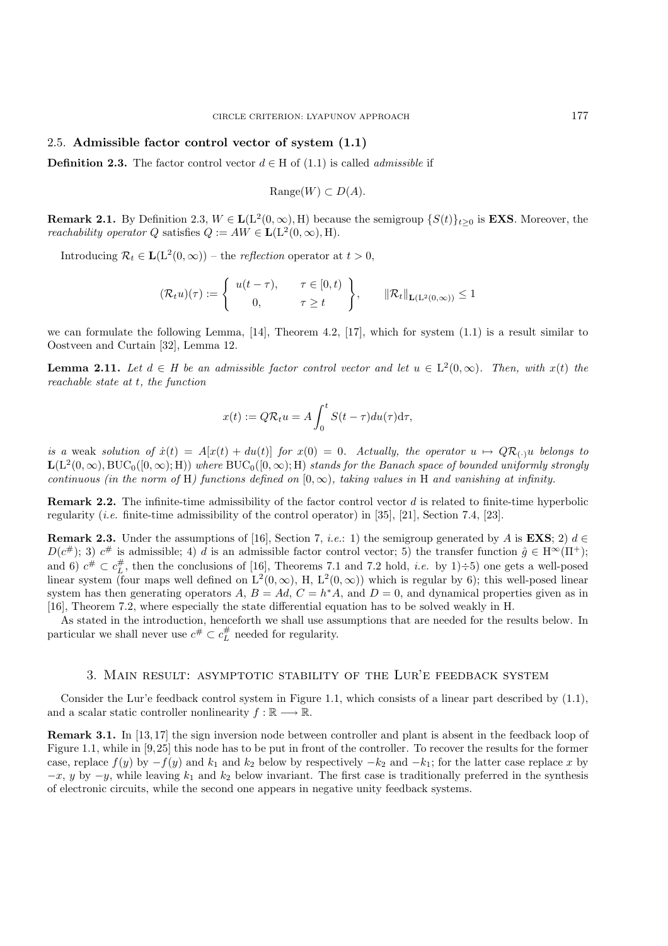## 2.5. **Admissible factor control vector of system (1.1)**

**Definition 2.3.** The factor control vector  $d \in H$  of (1.1) is called *admissible* if

$$
\text{Range}(W) \subset D(A).
$$

**Remark 2.1.** By Definition 2.3,  $W \in L(L^2(0,\infty), H)$  because the semigroup  $\{S(t)\}_{t\geq 0}$  is **EXS**. Moreover, the *reachability operator* Q satisfies  $Q := AW \in \mathbf{L}(L^2(0,\infty), H)$ .

Introducing  $\mathcal{R}_t \in \mathbf{L}(L^2(0,\infty))$  – the *reflection* operator at  $t > 0$ ,

$$
(\mathcal{R}_t u)(\tau) := \begin{cases} u(t-\tau), & \tau \in [0, t) \\ 0, & \tau \ge t \end{cases}, \qquad ||\mathcal{R}_t||_{\mathbf{L}(\mathbf{L}^2(0,\infty))} \le 1
$$

we can formulate the following Lemma, [14], Theorem 4.2, [17], which for system (1.1) is a result similar to Oostveen and Curtain [32], Lemma 12.

**Lemma 2.11.** *Let*  $d \in H$  *be an admissible factor control vector and let*  $u \in L^2(0,\infty)$ *. Then, with*  $x(t)$  *the reachable state at* t*, the function*

$$
x(t) := Q\mathcal{R}_t u = A \int_0^t S(t - \tau) du(\tau) d\tau,
$$

*is a* weak *solution of*  $\dot{x}(t) = A[x(t) + du(t)]$  *for*  $x(0) = 0$ *. Actually, the operator*  $u \mapsto QR_{(\cdot)}u$  *belongs to*  $L(L^{2}(0, \infty), BUC_{0}([0, \infty); H))$  *where*  $BUC_{0}([0, \infty); H)$  *stands for the Banach space of bounded uniformly strongly continuous (in the norm of* H) functions defined on  $(0, \infty)$ , taking values in H and vanishing at infinity.

**Remark 2.2.** The infinite-time admissibility of the factor control vector d is related to finite-time hyperbolic regularity (*i.e.* finite-time admissibility of the control operator) in [35], [21], Section 7.4, [23].

**Remark 2.3.** Under the assumptions of [16], Section 7, *i.e.*: 1) the semigroup generated by A is **EXS**; 2)  $d \in$  $D(c^*)$ ; 3)  $c^*$  is admissible; 4) d is an admissible factor control vector; 5) the transfer function  $\hat{g} \in H^{\infty}(\Pi^+)$ ; and 6)  $c^{\#} \subset c_L^{\#}$ , then the conclusions of [16], Theorems 7.1 and 7.2 hold, *i.e.* by 1)÷5) one gets a well-posed linear system (four maps well defined on  $L^2(0,\infty)$ , H,  $L^2(0,\infty)$ ) which is regular by 6); this well-posed linear system has then generating operators A,  $B = Ad$ ,  $C = h<sup>*</sup>A$ , and  $D = 0$ , and dynamical properties given as in [16], Theorem 7.2, where especially the state differential equation has to be solved weakly in H.

As stated in the introduction, henceforth we shall use assumptions that are needed for the results below. In particular we shall never use  $c^{\#} \subset c_L^{\#}$  needed for regularity.

#### 3. Main result: asymptotic stability of the Lur'e feedback system

Consider the Lur'e feedback control system in Figure 1.1, which consists of a linear part described by (1.1), and a scalar static controller nonlinearity  $f : \mathbb{R} \longrightarrow \mathbb{R}$ .

**Remark 3.1.** In [13, 17] the sign inversion node between controller and plant is absent in the feedback loop of Figure 1.1, while in [9,25] this node has to be put in front of the controller. To recover the results for the former case, replace  $f(y)$  by  $-f(y)$  and  $k_1$  and  $k_2$  below by respectively  $-k_2$  and  $-k_1$ ; for the latter case replace x by  $-x$ , y by  $-y$ , while leaving  $k_1$  and  $k_2$  below invariant. The first case is traditionally preferred in the synthesis of electronic circuits, while the second one appears in negative unity feedback systems.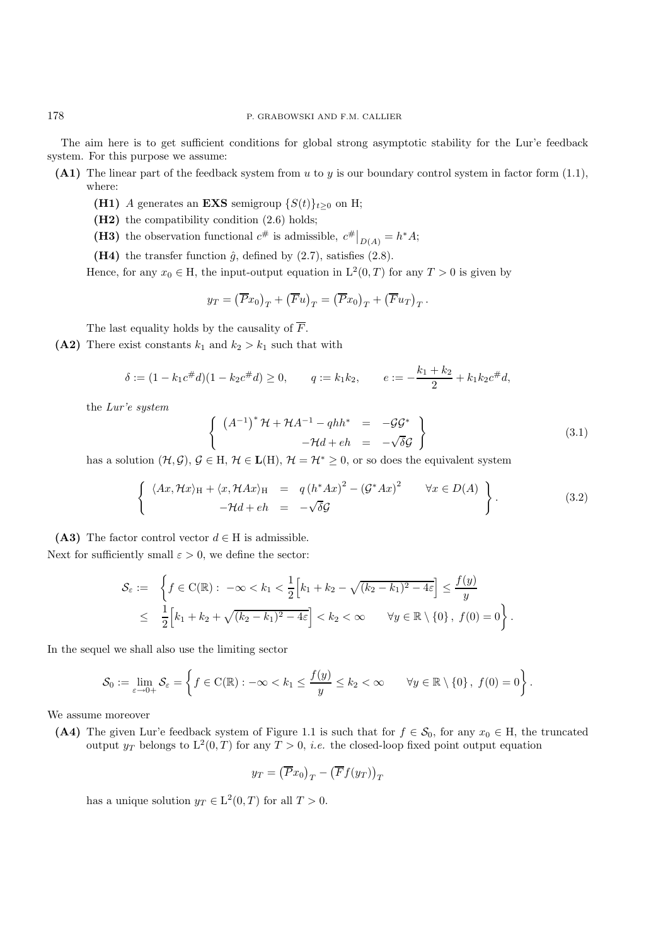The aim here is to get sufficient conditions for global strong asymptotic stability for the Lur'e feedback system. For this purpose we assume:

- **(A1)** The linear part of the feedback system from u to y is our boundary control system in factor form (1.1), where:
	- **(H1)** A generates an **EXS** semigroup  $\{S(t)\}_{t\geq0}$  on H;
	- **(H2)** the compatibility condition (2.6) holds;
	- (**H3**) the observation functional  $c^{\#}$  is admissible,  $c^{\#}|_{D(A)} = h^*A;$
	- (H4) the transfer function  $\hat{g}$ , defined by  $(2.7)$ , satisfies  $(2.8)$ .

Hence, for any  $x_0 \in H$ , the input-output equation in  $L^2(0,T)$  for any  $T > 0$  is given by

$$
y_T = \left(\overline{P}x_0\right)_T + \left(\overline{F}u\right)_T = \left(\overline{P}x_0\right)_T + \left(\overline{F}u_T\right)_T.
$$

The last equality holds by the causality of  $\overline{F}$ .

(A2) There exist constants  $k_1$  and  $k_2 > k_1$  such that with

$$
\delta := (1 - k_1 c^{\#} d)(1 - k_2 c^{\#} d) \ge 0, \qquad q := k_1 k_2, \qquad e := -\frac{k_1 + k_2}{2} + k_1 k_2 c^{\#} d,
$$

the *Lur'e system*

$$
\begin{cases}\n\left(A^{-1}\right)^* \mathcal{H} + \mathcal{H} A^{-1} - q h h^* = -\mathcal{G} \mathcal{G}^* \\
-\mathcal{H} d + e h = -\sqrt{\delta} \mathcal{G}\n\end{cases}
$$
\n(3.1)

has a solution  $(\mathcal{H}, \mathcal{G}), \mathcal{G} \in H, \mathcal{H} \in L(H), \mathcal{H} = \mathcal{H}^* \geq 0$ , or so does the equivalent system

$$
\left\{\n\begin{array}{rcl}\n\langle Ax, \mathcal{H}x \rangle_{\mathcal{H}} + \langle x, \mathcal{H}Ax \rangle_{\mathcal{H}} & = & q\left(h^*Ax\right)^2 - \left(\mathcal{G}^*Ax\right)^2 & \forall x \in D(A) \\
-\mathcal{H}d + eh & = & -\sqrt{\delta}\mathcal{G}\n\end{array}\n\right\}.
$$
\n(3.2)

**(A3)** The factor control vector  $d \in H$  is admissible.

Next for sufficiently small  $\varepsilon > 0$ , we define the sector:

$$
\mathcal{S}_{\varepsilon} := \left\{ f \in C(\mathbb{R}) : -\infty < k_1 < \frac{1}{2} \Big[ k_1 + k_2 - \sqrt{(k_2 - k_1)^2 - 4\varepsilon} \Big] \le \frac{f(y)}{y} \right\}
$$
  

$$
\le \frac{1}{2} \Big[ k_1 + k_2 + \sqrt{(k_2 - k_1)^2 - 4\varepsilon} \Big] < k_2 < \infty \qquad \forall y \in \mathbb{R} \setminus \{0\}, \ f(0) = 0 \right\}.
$$

In the sequel we shall also use the limiting sector

$$
\mathcal{S}_0 := \lim_{\varepsilon \to 0+} \mathcal{S}_\varepsilon = \left\{ f \in \mathrm{C}(\mathbb{R}) : -\infty < k_1 \le \frac{f(y)}{y} \le k_2 < \infty \qquad \forall y \in \mathbb{R} \setminus \{0\}, \ f(0) = 0 \right\}.
$$

We assume moreover

(A4) The given Lur'e feedback system of Figure 1.1 is such that for  $f \in \mathcal{S}_0$ , for any  $x_0 \in H$ , the truncated output  $y_T$  belongs to  $L^2(0,T)$  for any  $T > 0$ , *i.e.* the closed-loop fixed point output equation

$$
y_T = \left(\overline{P}x_0\right)_T - \left(\overline{F}f(y_T)\right)_T
$$

has a unique solution  $y_T \in L^2(0,T)$  for all  $T > 0$ .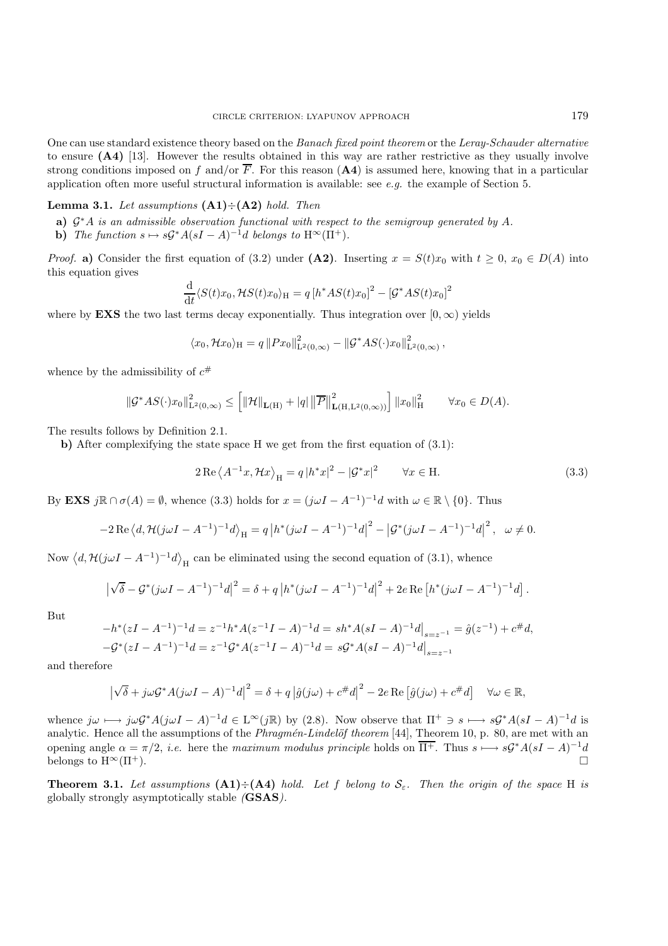One can use standard existence theory based on the *Banach fixed point theorem* or the *Leray-Schauder alternative* to ensure **(A4)** [13]. However the results obtained in this way are rather restrictive as they usually involve strong conditions imposed on f and/or  $\overline{F}$ . For this reason (A4) is assumed here, knowing that in a particular application often more useful structural information is available: see *e.g.* the example of Section 5.

## **Lemma 3.1.** *Let assumptions* **(A1)**÷**(A2)** *hold. Then*

- **a)** G∗A *is an admissible observation functional with respect to the semigroup generated by* A*.*
- **b)** *The function*  $s \mapsto s\mathcal{G}^*A(sI A)^{-1}d$  *belongs to*  $H^{\infty}(\Pi^+).$

*Proof.* **a)** Consider the first equation of (3.2) under **(A2)**. Inserting  $x = S(t)x_0$  with  $t \ge 0$ ,  $x_0 \in D(A)$  into this equation gives

$$
\frac{\mathrm{d}}{\mathrm{d}t} \langle S(t)x_0, \mathcal{H}S(t)x_0 \rangle_{\mathrm{H}} = q \left[ h^*AS(t)x_0 \right]^2 - \left[ \mathcal{G}^*AS(t)x_0 \right]^2
$$

where by **EXS** the two last terms decay exponentially. Thus integration over  $[0, \infty)$  yields

$$
\langle x_0, \mathcal{H}x_0 \rangle_{\mathcal{H}} = q \|Px_0\|_{\mathcal{L}^2(0,\infty)}^2 - \|\mathcal{G}^*AS(\cdot)x_0\|_{\mathcal{L}^2(0,\infty)}^2,
$$

whence by the admissibility of  $c^{\#}$ 

$$
\|\mathcal{G}^*AS(\cdot)x_0\|_{\mathbf{L}^2(0,\infty)}^2 \le \left[ \|\mathcal{H}\|_{\mathbf{L}(\mathbf{H})} + |q| \left\|\overline{P}\right\|_{\mathbf{L}(\mathbf{H},\mathbf{L}^2(0,\infty))}^2 \right] \|x_0\|_{\mathbf{H}}^2 \qquad \forall x_0 \in D(A).
$$

The results follows by Definition 2.1.

**b)** After complexifying the state space H we get from the first equation of (3.1):

$$
2 \operatorname{Re} \left\langle A^{-1} x, \mathcal{H} x \right\rangle_{\mathcal{H}} = q \left| h^* x \right|^2 - \left| \mathcal{G}^* x \right|^2 \qquad \forall x \in \mathcal{H}.
$$
 (3.3)

By **EXS**  $j\mathbb{R} \cap \sigma(A) = \emptyset$ , whence (3.3) holds for  $x = (j\omega I - A^{-1})^{-1}d$  with  $\omega \in \mathbb{R} \setminus \{0\}$ . Thus

$$
-2\operatorname{Re}\left\langle d,\mathcal{H}(j\omega I - A^{-1})^{-1}d\right\rangle_{\mathcal{H}} = q\left|h^*(j\omega I - A^{-1})^{-1}d\right|^2 - \left|\mathcal{G}^*(j\omega I - A^{-1})^{-1}d\right|^2, \quad \omega \neq 0.
$$

Now  $\langle d, H(j\omega I - A^{-1})^{-1}d \rangle_H$  can be eliminated using the second equation of (3.1), whence

$$
\left|\sqrt{\delta} - \mathcal{G}^*(j\omega I - A^{-1})^{-1}d\right|^2 = \delta + q\left|h^*(j\omega I - A^{-1})^{-1}d\right|^2 + 2e \operatorname{Re}\left[h^*(j\omega I - A^{-1})^{-1}d\right].
$$

But

$$
-h^*(zI - A^{-1})^{-1}d = z^{-1}h^*A(z^{-1}I - A)^{-1}d = sh^*A(sI - A)^{-1}d\big|_{s=z^{-1}} = \hat{g}(z^{-1}) + c^{\#}d,
$$
  

$$
-\mathcal{G}^*(zI - A^{-1})^{-1}d = z^{-1}\mathcal{G}^*A(z^{-1}I - A)^{-1}d = s\mathcal{G}^*A(sI - A)^{-1}d\big|_{s=z^{-1}}
$$

and therefore

$$
\left|\sqrt{\delta} + j\omega \mathcal{G}^* A(j\omega I - A)^{-1}d\right|^2 = \delta + q\left|\hat{g}(j\omega) + c^{\#}d\right|^2 - 2e \operatorname{Re}\left[\hat{g}(j\omega) + c^{\#}d\right] \quad \forall \omega \in \mathbb{R},
$$

whence  $j\omega \mapsto j\omega \mathcal{G}^*A(j\omega I - A)^{-1}d \in \mathbb{L}^{\infty}(j\mathbb{R})$  by (2.8). Now observe that  $\Pi^+ \ni s \mapsto s\mathcal{G}^*A(sI - A)^{-1}d$  is analytic. Hence all the assumptions of the *Phragmén-Lindelöf theorem* [44], Theorem 10, p. 80, are met with an opening angle  $\alpha = \pi/2$ , *i.e.* here the *maximum modulus principle* holds on  $\overline{\Pi^+}$ . Thus  $s \mapsto s\mathcal{G}^*A(sI-A)^{-1}d$ belongs to  $H^{\infty}(\Pi^{+})$ .

**Theorem 3.1.** Let assumptions  $(A1) \div (A4)$  hold. Let f belong to  $S<sub>\epsilon</sub>$ . Then the origin of the space H is globally strongly asymptotically stable *(***GSAS***).*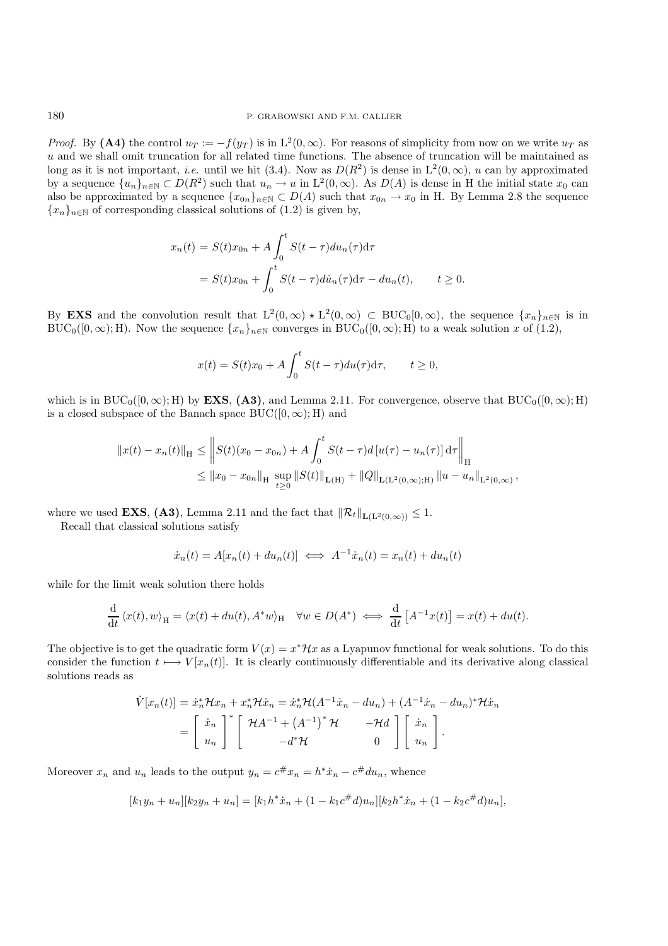*Proof.* By **(A4)** the control  $u_T := -f(y_T)$  is in  $L^2(0,\infty)$ . For reasons of simplicity from now on we write  $u_T$  as u and we shall omit truncation for all related time functions. The absence of truncation will be maintained as long as it is not important, *i.e.* until we hit (3.4). Now as  $D(R^2)$  is dense in  $L^2(0,\infty)$ , u can by approximated by a sequence  ${u_n}_{n\in\mathbb{N}} \subset D(R^2)$  such that  $u_n \to u$  in  $L^2(0,\infty)$ . As  $D(A)$  is dense in H the initial state  $x_0$  can also be approximated by a sequence  $\{x_{0n}\}_{n\in\mathbb{N}}\subset D(A)$  such that  $x_{0n}\to x_0$  in H. By Lemma 2.8 the sequence  ${x_n}_{n\in\mathbb{N}}$  of corresponding classical solutions of (1.2) is given by,

$$
x_n(t) = S(t)x_{0n} + A \int_0^t S(t - \tau) du_n(\tau) d\tau
$$
  
=  $S(t)x_{0n} + \int_0^t S(t - \tau) du_n(\tau) d\tau - du_n(t), \qquad t \ge 0.$ 

By **EXS** and the convolution result that  $L^2(0,\infty) \times L^2(0,\infty) \subset BUC_0[0,\infty)$ , the sequence  $\{x_n\}_{n\in\mathbb{N}}$  is in BUC<sub>0</sub>([0, ∞); H). Now the sequence  $\{x_n\}_{n\in\mathbb{N}}$  converges in BUC<sub>0</sub>([0, ∞); H) to a weak solution x of (1.2),

$$
x(t) = S(t)x_0 + A \int_0^t S(t - \tau) du(\tau) d\tau, \qquad t \ge 0,
$$

which is in  $BUC_0([0,\infty); H)$  by **EXS**, (A3), and Lemma 2.11. For convergence, observe that  $BUC_0([0,\infty); H)$ is a closed subspace of the Banach space  $BUC([0,\infty);H)$  and

$$
||x(t) - x_n(t)||_H \leq \left\| S(t)(x_0 - x_{0n}) + A \int_0^t S(t - \tau) d[u(\tau) - u_n(\tau)] d\tau \right\|_H
$$
  

$$
\leq ||x_0 - x_{0n}||_H \sup_{t \geq 0} ||S(t)||_{\mathbf{L}(\mathbf{H})} + ||Q||_{\mathbf{L}(\mathbf{L}^2(0,\infty);H)} ||u - u_n||_{\mathbf{L}^2(0,\infty)},
$$

where we used **EXS**, (A3), Lemma 2.11 and the fact that  $\|\mathcal{R}_t\|_{\mathbf{L}(L^2(0,\infty))} \leq 1$ .

Recall that classical solutions satisfy

$$
\dot{x}_n(t) = A[x_n(t) + du_n(t)] \iff A^{-1}\dot{x}_n(t) = x_n(t) + du_n(t)
$$

while for the limit weak solution there holds

$$
\frac{\mathrm{d}}{\mathrm{d}t} \langle x(t), w \rangle_{\mathrm{H}} = \langle x(t) + du(t), A^*w \rangle_{\mathrm{H}} \quad \forall w \in D(A^*) \iff \frac{\mathrm{d}}{\mathrm{d}t} [A^{-1}x(t)] = x(t) + du(t).
$$

The objective is to get the quadratic form  $V(x) = x^*\mathcal{H}x$  as a Lyapunov functional for weak solutions. To do this consider the function  $t \mapsto V[x_n(t)]$ . It is clearly continuously differentiable and its derivative along classical solutions reads as

$$
\dot{V}[x_n(t)] = \dot{x}_n^* \mathcal{H}x_n + x_n^* \mathcal{H}\dot{x}_n = \dot{x}_n^* \mathcal{H}(A^{-1}\dot{x}_n - du_n) + (A^{-1}\dot{x}_n - du_n)^* \mathcal{H}\dot{x}_n
$$
\n
$$
= \begin{bmatrix} \dot{x}_n \\ u_n \end{bmatrix}^* \begin{bmatrix} \mathcal{H}A^{-1} + (A^{-1})^* \mathcal{H} & -\mathcal{H}d \\ -d^* \mathcal{H} & 0 \end{bmatrix} \begin{bmatrix} \dot{x}_n \\ u_n \end{bmatrix}.
$$

Moreover  $x_n$  and  $u_n$  leads to the output  $y_n = c \# x_n = h^* \dot{x}_n - c \# du_n$ , whence

$$
[k_1y_n + u_n][k_2y_n + u_n] = [k_1h^*\dot{x}_n + (1 - k_1c^{\#}d)u_n][k_2h^*\dot{x}_n + (1 - k_2c^{\#}d)u_n],
$$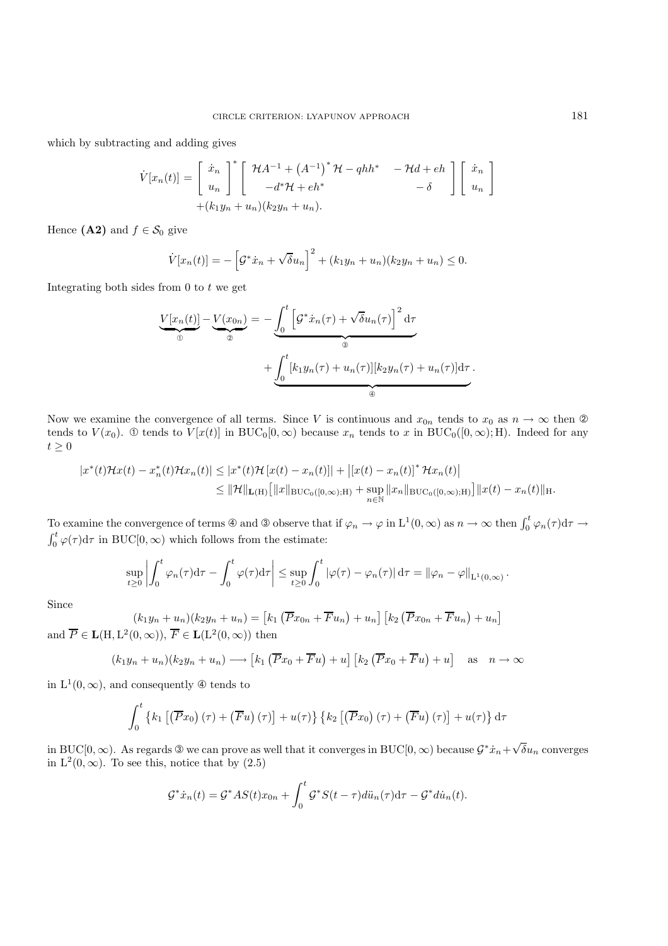which by subtracting and adding gives

$$
\dot{V}[x_n(t)] = \begin{bmatrix} \dot{x}_n \\ u_n \end{bmatrix}^* \begin{bmatrix} \mathcal{H}A^{-1} + (A^{-1})^* \mathcal{H} - qhh^* & -\mathcal{H}d + eh \\ -d^* \mathcal{H} + eh^* & -\delta \end{bmatrix} \begin{bmatrix} \dot{x}_n \\ u_n \end{bmatrix} + (k_1y_n + u_n)(k_2y_n + u_n).
$$

Hence  $(A2)$  and  $f \in \mathcal{S}_0$  give

$$
\dot{V}[x_n(t)] = -\left[\mathcal{G}^* \dot{x}_n + \sqrt{\delta} u_n\right]^2 + (k_1 y_n + u_n)(k_2 y_n + u_n) \le 0.
$$

Integrating both sides from  $0$  to  $t$  we get

$$
\underbrace{V[x_n(t)]}_{\textcircled{\tiny 0}} - \underbrace{V(x_{0n})}_{\textcircled{\tiny 0}} = -\underbrace{\int_0^t \left[ \mathcal{G}^* \dot{x}_n(\tau) + \sqrt{\delta} u_n(\tau) \right]^2 d\tau}_{\textcircled{\tiny 0}} + \underbrace{\int_0^t [k_1 y_n(\tau) + u_n(\tau)][k_2 y_n(\tau) + u_n(\tau)] d\tau}_{\textcircled{\tiny 0}}.
$$

Now we examine the convergence of all terms. Since V is continuous and  $x_{0n}$  tends to  $x_0$  as  $n \to \infty$  then  $\mathcal{D}$ tends to  $V(x_0)$ . ① tends to  $V[x(t)]$  in BUC<sub>0</sub>[0, $\infty$ ) because  $x_n$  tends to x in BUC<sub>0</sub>([0, $\infty$ ); H). Indeed for any  $t\geq 0$ 

$$
|x^{*}(t)\mathcal{H}x(t) - x_{n}^{*}(t)\mathcal{H}x_{n}(t)| \leq |x^{*}(t)\mathcal{H}[x(t) - x_{n}(t)]| + |[x(t) - x_{n}(t)]^{*} \mathcal{H}x_{n}(t)|
$$
  

$$
\leq ||\mathcal{H}||_{\mathbf{L}(\mathbf{H})}\big[||x||_{\text{BUC}_{0}([0,\infty);\mathbf{H})} + \sup_{n\in\mathbb{N}}||x_{n}||_{\text{BUC}_{0}([0,\infty);\mathbf{H})}\big]||x(t) - x_{n}(t)||_{\mathbf{H}}.
$$

To examine the convergence of terms  $\circledast$  and  $\circledast$  observe that if  $\varphi_n \to \varphi$  in  $L^1(0,\infty)$  as  $n \to \infty$  then  $\int_0^t \varphi_n(\tau) d\tau \to$ <br> $\int_0^t \varphi(\tau) d\tau$  in BUC[0,  $\infty$ ) which follows from the estimate:  $\int_0^t \varphi(\tau) d\tau$  in BUC[0,  $\infty$ ) which follows from the estimate:

$$
\sup_{t\geq 0}\left|\int_0^t \varphi_n(\tau)d\tau-\int_0^t \varphi(\tau)d\tau\right|\leq \sup_{t\geq 0}\int_0^t |\varphi(\tau)-\varphi_n(\tau)|d\tau=\|\varphi_n-\varphi\|_{\mathrm{L}^1(0,\infty)}.
$$

Since

 $(k_1y_n + u_n)(k_2y_n + u_n) = [k_1 (\overline{P}x_{0n} + \overline{F}u_n) + u_n] [k_2 (\overline{P}x_{0n} + \overline{F}u_n) + u_n]$ and  $\overline{P} \in L(H, L^2(0, \infty)), \overline{F} \in L(L^2(0, \infty))$  then

$$
(k_1y_n + u_n)(k_2y_n + u_n) \longrightarrow [k_1(\overline{P}x_0 + \overline{F}u) + u] [k_2(\overline{P}x_0 + \overline{F}u) + u] \text{ as } n \to \infty
$$

in  $L^1(0,\infty)$ , and consequently  $\Phi$  tends to

$$
\int_0^t \left\{ k_1 \left[ \left( \overline{P} x_0 \right) (\tau) + \left( \overline{F} u \right) (\tau) \right] + u(\tau) \right\} \left\{ k_2 \left[ \left( \overline{P} x_0 \right) (\tau) + \left( \overline{F} u \right) (\tau) \right] + u(\tau) \right\} d\tau
$$

in BUC[0,  $\infty$ ). As regards ③ we can prove as well that it converges in BUC[0,  $\infty$ ) because  $\mathcal{G}^* \dot x_n + \sqrt{\frac{2\pi}{n}}$  $\delta u_n$  converges in  $L^2(0,\infty)$ . To see this, notice that by  $(2.5)$ 

$$
\mathcal{G}^* \dot{x}_n(t) = \mathcal{G}^* AS(t)x_{0n} + \int_0^t \mathcal{G}^* S(t-\tau) d\ddot{u}_n(\tau) d\tau - \mathcal{G}^* d\dot{u}_n(t).
$$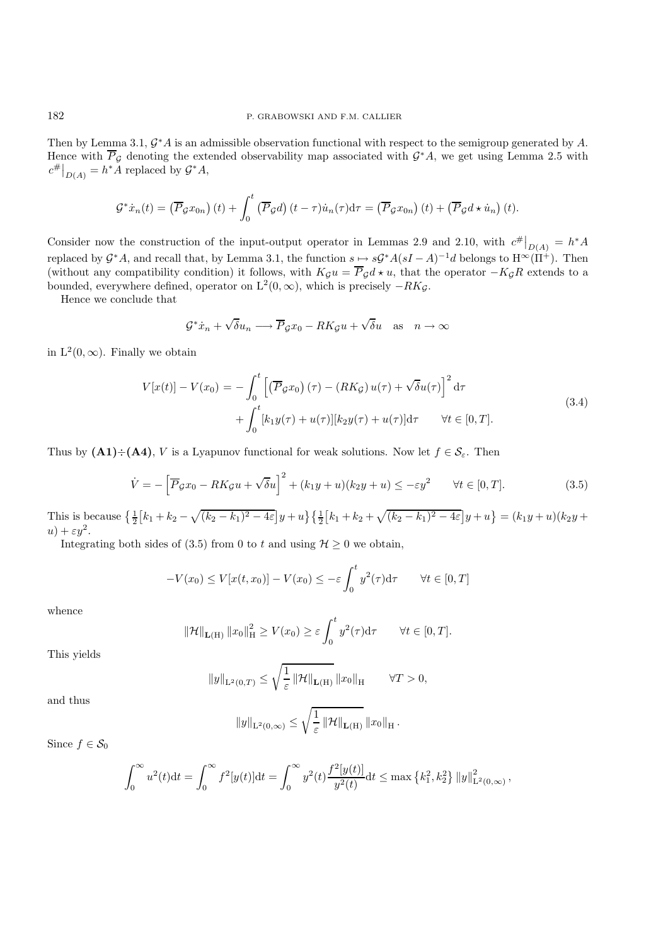Then by Lemma 3.1, G∗A is an admissible observation functional with respect to the semigroup generated by A. Hence with  $\overline{P}_{\mathcal{G}}$  denoting the extended observability map associated with  $\mathcal{G}^*A$ , we get using Lemma 2.5 with  $c^{\#}\big|_{D(A)} = h^* A$  replaced by  $\mathcal{G}^* A$ ,

$$
\mathcal{G}^* \dot{x}_n(t) = \left(\overline{P}_{\mathcal{G}} x_{0n}\right)(t) + \int_0^t \left(\overline{P}_{\mathcal{G}} d\right)(t-\tau) \dot{u}_n(\tau) d\tau = \left(\overline{P}_{\mathcal{G}} x_{0n}\right)(t) + \left(\overline{P}_{\mathcal{G}} d \star \dot{u}_n\right)(t).
$$

Consider now the construction of the input-output operator in Lemmas 2.9 and 2.10, with  $c^{\#}|_{D(A)} = h^*A$ replaced by  $\mathcal{G}^*A$ , and recall that, by Lemma 3.1, the function  $s \mapsto s\mathcal{G}^*A(sI-A)^{-1}d$  belongs to  $H^\infty(\Pi^+)$ . Then (without any compatibility condition) it follows, with  $K_{\mathcal{G}}u = \overline{P}_{\mathcal{G}}d \star u$ , that the operator  $-K_{\mathcal{G}}R$  extends to a bounded, everywhere defined, operator on  $L^2(0, \infty)$ , which is precisely  $-RK_g$ .

Hence we conclude that

$$
\mathcal{G}^*\dot{x}_n + \sqrt{\delta}u_n \longrightarrow \overline{P}_{\mathcal{G}}x_0 - RK_{\mathcal{G}}u + \sqrt{\delta}u \quad \text{as} \quad n \to \infty
$$

in  $L^2(0,\infty)$ . Finally we obtain

$$
V[x(t)] - V(x_0) = -\int_0^t \left[ \left( \overline{P}_{\mathcal{G}} x_0 \right) (\tau) - \left( R K_{\mathcal{G}} \right) u(\tau) + \sqrt{\delta} u(\tau) \right]^2 d\tau
$$
  
+ 
$$
\int_0^t \left[ k_1 y(\tau) + u(\tau) \right] \left[ k_2 y(\tau) + u(\tau) \right] d\tau \qquad \forall t \in [0, T].
$$
 (3.4)

Thus by  $(A1) \div (A4)$ , V is a Lyapunov functional for weak solutions. Now let  $f \in \mathcal{S}_{\varepsilon}$ . Then

$$
\dot{V} = -\left[\overline{P}_{\mathcal{G}}x_0 - RK_{\mathcal{G}}u + \sqrt{\delta}u\right]^2 + (k_1y + u)(k_2y + u) \le -\varepsilon y^2 \qquad \forall t \in [0, T].\tag{3.5}
$$

This is because  $\left\{\frac{1}{2}\left[k_1+k_2-\sqrt{(k_2-k_1)^2-4\varepsilon}\right]y+u\right\}\left\{\frac{1}{2}\left[k_1+k_2+\sqrt{(k_2-k_1)^2-4\varepsilon}\right]y+u\right\}=(k_1y+u)(k_2y+u)$  $u) + \varepsilon y^2$ .

Integrating both sides of (3.5) from 0 to t and using  $\mathcal{H} \geq 0$  we obtain,

$$
-V(x_0) \le V[x(t, x_0)] - V(x_0) \le -\varepsilon \int_0^t y^2(\tau) d\tau \qquad \forall t \in [0, T]
$$

whence

$$
\|\mathcal{H}\|_{\mathbf{L}(\mathrm{H})} \|x_0\|_{\mathrm{H}}^2 \ge V(x_0) \ge \varepsilon \int_0^t y^2(\tau) d\tau \qquad \forall t \in [0, T].
$$

This yields

$$
||y||_{\mathcal{L}^{2}(0,T)} \leq \sqrt{\frac{1}{\varepsilon}} \, ||\mathcal{H}||_{\mathbf{L}(\mathcal{H})} \, ||x_0||_{\mathcal{H}} \qquad \forall T > 0,
$$

and thus

$$
||y||_{\mathcal{L}^{2}(0,\infty)} \leq \sqrt{\frac{1}{\varepsilon} ||\mathcal{H}||_{\mathbf{L}(\mathcal{H})}} ||x_0||_{\mathcal{H}}.
$$

Since  $f \in \mathcal{S}_0$ 

$$
\int_0^\infty u^2(t)\mathrm{d}t = \int_0^\infty f^2[y(t)]\mathrm{d}t = \int_0^\infty y^2(t) \frac{f^2[y(t)]}{y^2(t)}\mathrm{d}t \le \max\left\{k_1^2, k_2^2\right\} \|y\|_{\mathrm{L}^2(0,\infty)}^2,
$$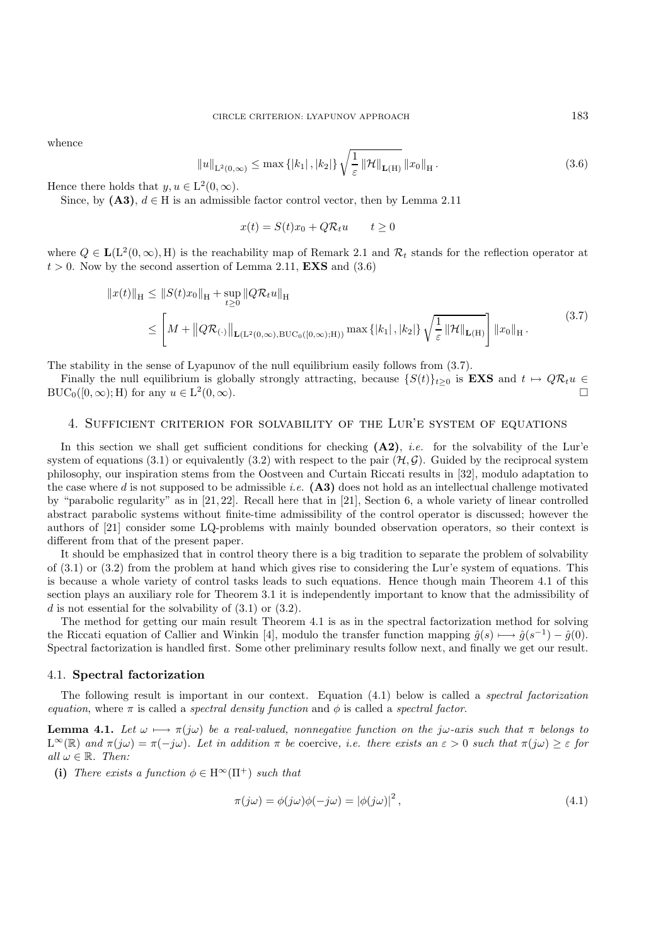whence

$$
||u||_{\mathcal{L}^{2}(0,\infty)} \leq \max\{|k_{1}|,|k_{2}|\}\sqrt{\frac{1}{\varepsilon}}\,\|\mathcal{H}\|_{\mathbf{L}(\mathbf{H})}\,\|x_{0}\|_{\mathbf{H}}.\tag{3.6}
$$

Hence there holds that  $y, u \in L^2(0, \infty)$ .

Since, by  $(A3)$ ,  $d \in H$  is an admissible factor control vector, then by Lemma 2.11

$$
x(t) = S(t)x_0 + Q\mathcal{R}_t u \qquad t \ge 0
$$

where  $Q \in L(L^2(0,\infty), H)$  is the reachability map of Remark 2.1 and  $\mathcal{R}_t$  stands for the reflection operator at  $t > 0$ . Now by the second assertion of Lemma 2.11, **EXS** and  $(3.6)$ 

$$
||x(t)||_{H} \le ||S(t)x_0||_{H} + \sup_{t \ge 0} ||Q\mathcal{R}_t u||_{H}
$$
  
\n
$$
\le \left[ M + ||Q\mathcal{R}_{(\cdot)}||_{\mathbf{L}(\mathbf{L}^2(0,\infty),\mathrm{BUC}_0([0,\infty);H))} \max\{|k_1|,|k_2|\} \sqrt{\frac{1}{\varepsilon}} ||\mathcal{H}||_{\mathbf{L}(\mathbf{H})} \right] ||x_0||_{H}.
$$
\n(3.7)

The stability in the sense of Lyapunov of the null equilibrium easily follows from  $(3.7)$ .

Finally the null equilibrium is globally strongly attracting, because  $\{S(t)\}_{t\geq0}$  is **EXS** and  $t \mapsto QR_t u \in$  $BUC_0([0,\infty); H)$  for any  $u \in L^2(0,\infty)$ .

## 4. Sufficient criterion for solvability of the Lur'e system of equations

In this section we shall get sufficient conditions for checking **(A2)**, *i.e.* for the solvability of the Lur'e system of equations (3.1) or equivalently (3.2) with respect to the pair  $(\mathcal{H}, \mathcal{G})$ . Guided by the reciprocal system philosophy, our inspiration stems from the Oostveen and Curtain Riccati results in [32], modulo adaptation to the case where d is not supposed to be admissible *i.e.*  $(A3)$  does not hold as an intellectual challenge motivated by "parabolic regularity" as in [21, 22]. Recall here that in [21], Section 6, a whole variety of linear controlled abstract parabolic systems without finite-time admissibility of the control operator is discussed; however the authors of [21] consider some LQ-problems with mainly bounded observation operators, so their context is different from that of the present paper.

It should be emphasized that in control theory there is a big tradition to separate the problem of solvability of (3.1) or (3.2) from the problem at hand which gives rise to considering the Lur'e system of equations. This is because a whole variety of control tasks leads to such equations. Hence though main Theorem 4.1 of this section plays an auxiliary role for Theorem 3.1 it is independently important to know that the admissibility of d is not essential for the solvability of  $(3.1)$  or  $(3.2)$ .

The method for getting our main result Theorem 4.1 is as in the spectral factorization method for solving the Riccati equation of Callier and Winkin [4], modulo the transfer function mapping  $\hat{g}(s) \longmapsto \hat{g}(s^{-1}) - \hat{g}(0)$ . Spectral factorization is handled first. Some other preliminary results follow next, and finally we get our result.

#### 4.1. **Spectral factorization**

The following result is important in our context. Equation (4.1) below is called a *spectral factorization equation*, where  $\pi$  is called a *spectral density function* and  $\phi$  is called a *spectral factor*.

**Lemma 4.1.** *Let*  $\omega \mapsto \pi(j\omega)$  *be a real-valued, nonnegative function on the j* $\omega$ *-axis such that*  $\pi$  *belongs to* L∞(R) *and* π(jω) = π(−jω)*. Let in addition* π *be* coercive*, i.e. there exists an* ε > 0 *such that* π(jω) ≥ ε *for*  $all \omega \in \mathbb{R}$ *. Then:* 

**(i)** *There exists a function*  $\phi \in H^{\infty}(\Pi^{+})$  *such that* 

$$
\pi(j\omega) = \phi(j\omega)\phi(-j\omega) = |\phi(j\omega)|^2,
$$
\n(4.1)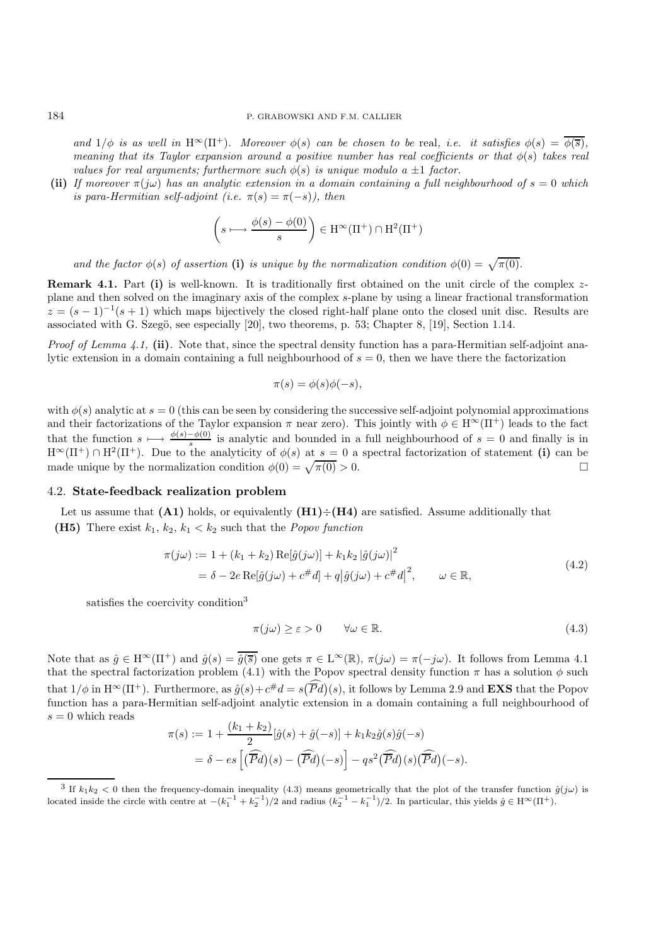*and*  $1/\phi$  *is as well in* H<sup>∞</sup>( $\Pi$ <sup>+</sup>)*. Moreover*  $\phi(s)$  *can be chosen to be* real, *i.e. it satisfies*  $\phi(s) = \overline{\phi(s)}$ *, meaning that its Taylor expansion around a positive number has real coefficients or that*  $\phi(s)$  *takes real values for real arguments; furthermore such*  $\phi(s)$  *is unique modulo a*  $\pm 1$  *factor.* 

**(ii)** *If moreover*  $\pi(i\omega)$  *has an analytic extension in a domain containing a full neighbourhood of*  $s = 0$  *which is para-Hermitian self-adjoint (i.e.*  $\pi(s) = \pi(-s)$ ), then

$$
\left(s \longmapsto \frac{\phi(s) - \phi(0)}{s}\right) \in \mathrm{H}^{\infty}(\Pi^+) \cap \mathrm{H}^2(\Pi^+)
$$

*and the factor*  $\phi(s)$  *of assertion* (i) *is unique by the normalization condition*  $\phi(0) = \sqrt{\pi(0)}$ .

**Remark 4.1.** Part (i) is well-known. It is traditionally first obtained on the unit circle of the complex zplane and then solved on the imaginary axis of the complex s-plane by using a linear fractional transformation  $z = (s-1)^{-1}(s+1)$  which maps bijectively the closed right-half plane onto the closed unit disc. Results are associated with G. Szegö, see especially  $[20]$ , two theorems, p. 53; Chapter 8,  $[19]$ , Section 1.14.

*Proof of Lemma 4.1,* **(ii)***.* Note that, since the spectral density function has a para-Hermitian self-adjoint analytic extension in a domain containing a full neighbourhood of  $s = 0$ , then we have there the factorization

$$
\pi(s) = \phi(s)\phi(-s),
$$

with  $\phi(s)$  analytic at  $s = 0$  (this can be seen by considering the successive self-adjoint polynomial approximations and their factorizations of the Taylor expansion  $\pi$  near zero). This jointly with  $\phi \in H^{\infty}(\Pi^{+})$  leads to the fact that the function  $s \longmapsto \frac{\phi(s) - \phi(0)}{s}$  is analytic and bounded in a full neighbourhood of  $s = 0$  and finally is in  $H^{\infty}(\Pi^{+}) \cap H^{2}(\Pi^{+})$ . Due to the analyticity of  $\phi(s)$  at  $s = 0$  a spectral factorization of statement **(i)** can be made unique by the normalization condition  $\phi(0) = \sqrt{\pi(0)} > 0$ .

#### 4.2. **State-feedback realization problem**

Let us assume that  $(A1)$  holds, or equivalently  $(H1) \div (H4)$  are satisfied. Assume additionally that **(H5)** There exist  $k_1, k_2, k_1 < k_2$  such that the *Popov function* 

$$
\pi(j\omega) := 1 + (k_1 + k_2) \operatorname{Re}[\hat{g}(j\omega)] + k_1 k_2 |\hat{g}(j\omega)|^2
$$
  
=  $\delta - 2e \operatorname{Re}[\hat{g}(j\omega) + c^{\#}d] + q|\hat{g}(j\omega) + c^{\#}d|^2$ ,  $\omega \in \mathbb{R}$ , (4.2)

satisfies the coercivity condition<sup>3</sup>

$$
\pi(j\omega) \ge \varepsilon > 0 \qquad \forall \omega \in \mathbb{R}.\tag{4.3}
$$

Note that as  $\hat{g} \in H^{\infty}(\Pi^{+})$  and  $\hat{g}(s) = \overline{\hat{g}(\overline{s})}$  one gets  $\pi \in L^{\infty}(\mathbb{R})$ ,  $\pi(j\omega) = \pi(-j\omega)$ . It follows from Lemma 4.1 that the spectral factorization problem (4.1) with the Popov spectral density function  $\pi$  has a solution  $\phi$  such that  $1/\phi$  in  $H^{\infty}(\Pi^{+})$ . Furthermore, as  $\hat{g}(s) + c^{\#}d = s(\overline{P}d)(s)$ , it follows by Lemma 2.9 and **EXS** that the Popov function has a para-Hermitian self-adjoint analytic extension in a domain containing a full neighbourhood of  $s = 0$  which reads

$$
\pi(s) := 1 + \frac{(k_1 + k_2)}{2} [\hat{g}(s) + \hat{g}(-s)] + k_1 k_2 \hat{g}(s) \hat{g}(-s)
$$
  
=  $\delta - es \left[ (\widehat{\overline{P}d})(s) - (\widehat{\overline{P}d})(-s) \right] - qs^2 (\widehat{\overline{P}d})(s) (\widehat{\overline{P}d})(-s).$ 

<sup>&</sup>lt;sup>3</sup> If  $k_1k_2 < 0$  then the frequency-domain inequality (4.3) means geometrically that the plot of the transfer function  $\hat{g}(j\omega)$  is located inside the circle with centre at  $-(k_1^{-1} + k_2^{-1})/2$  and radius  $(k_2^{-1} - k_1^{-1})/2$ . In particular, this yields  $\hat{g} \in H^{\infty}(\Pi^+)$ .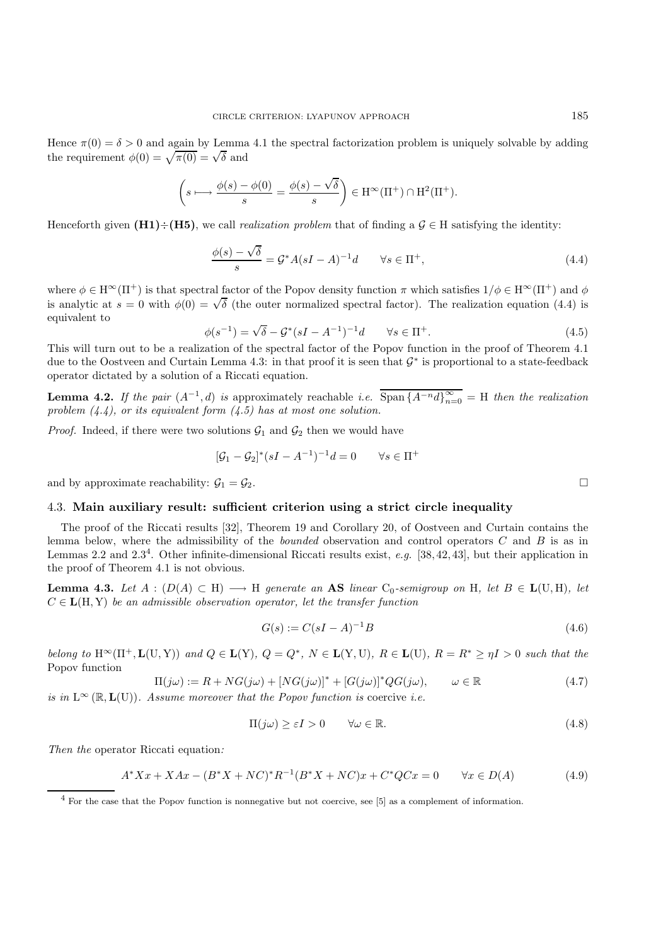Hence  $\pi(0) = \delta > 0$  and again by Lemma 4.1 the spectral factorization problem is uniquely solvable by adding the requirement  $\phi(0) = \sqrt{\pi(0)} = \sqrt{\delta}$  and

$$
\left(s \longmapsto \frac{\phi(s) - \phi(0)}{s} = \frac{\phi(s) - \sqrt{\delta}}{s} \right) \in \mathrm{H}^{\infty}(\Pi^+) \cap \mathrm{H}^2(\Pi^+).
$$

Henceforth given  $(H1) \div (H5)$ , we call *realization problem* that of finding a  $\mathcal{G} \in H$  satisfying the identity:

$$
\frac{\phi(s) - \sqrt{\delta}}{s} = \mathcal{G}^* A (sI - A)^{-1} d \qquad \forall s \in \Pi^+, \tag{4.4}
$$

where  $\phi \in H^{\infty}(\Pi^{+})$  is that spectral factor of the Popov density function  $\pi$  which satisfies  $1/\phi \in H^{\infty}(\Pi^{+})$  and  $\phi$ where  $\varphi \in \Pi$  (H<sup>T</sup>) is that spectral factor of the Fopov density function *n* which satisfies  $1/\varphi \in \Pi$  (H<sup>T</sup>) and  $\varphi$  is analytic at  $s = 0$  with  $\phi(0) = \sqrt{\delta}$  (the outer normalized spectral factor). The realization equivalent to

$$
\phi(s^{-1}) = \sqrt{\delta} - \mathcal{G}^*(sI - A^{-1})^{-1}d \qquad \forall s \in \Pi^+.
$$
\n(4.5)

This will turn out to be a realization of the spectral factor of the Popov function in the proof of Theorem 4.1 due to the Oostveen and Curtain Lemma 4.3: in that proof it is seen that  $\mathcal{G}^*$  is proportional to a state-feedback operator dictated by a solution of a Riccati equation.

**Lemma 4.2.** *If the pair*  $(A^{-1}, d)$  *is* approximately reachable *i.e.* Span  $\{A^{-n}d\}_{n=0}^{\infty} = H$  *then the realization problem (4.4), or its equivalent form (4.5) has at most one solution.*

*Proof.* Indeed, if there were two solutions  $\mathcal{G}_1$  and  $\mathcal{G}_2$  then we would have

$$
[\mathcal{G}_1 - \mathcal{G}_2]^*(sI - A^{-1})^{-1}d = 0 \qquad \forall s \in \Pi^+
$$

and by approximate reachability:  $\mathcal{G}_1 = \mathcal{G}_2$ .

#### 4.3. **Main auxiliary result: sufficient criterion using a strict circle inequality**

The proof of the Riccati results [32], Theorem 19 and Corollary 20, of Oostveen and Curtain contains the lemma below, where the admissibility of the *bounded* observation and control operators C and B is as in Lemmas 2.2 and 2.3<sup>4</sup>. Other infinite-dimensional Riccati results exist, *e.g.* [38, 42, 43], but their application in the proof of Theorem 4.1 is not obvious.

**Lemma 4.3.** *Let*  $A : (D(A) \subset H) \longrightarrow H$  *generate an* **AS** *linear* C<sub>0</sub>*-semigroup on* H*, let*  $B \in L(U, H)$ *, let*  $C \in L(H, Y)$  *be an admissible observation operator, let the transfer function* 

$$
G(s) := C(sI - A)^{-1}B\tag{4.6}
$$

*belong to*  $H^{\infty}(\Pi^{+}, L(U, Y))$  *and*  $Q \in L(Y)$ *,*  $Q = Q^*$ *,*  $N \in L(Y, U)$ *,*  $R \in L(U)$ *,*  $R = R^* \geq \eta I > 0$  *such that the* Popov function

$$
\Pi(j\omega) := R + NG(j\omega) + [NG(j\omega)]^* + [G(j\omega)]^* QG(j\omega), \qquad \omega \in \mathbb{R}
$$
\n(4.7)

*is in*  $L^{\infty}(\mathbb{R}, L(U))$ *. Assume moreover that the Popov function is coercive <i>i.e.* 

$$
\Pi(j\omega) \ge \varepsilon I > 0 \qquad \forall \omega \in \mathbb{R}.\tag{4.8}
$$

*Then the* operator Riccati equation*:*

$$
A^* X x + X A x - (B^* X + NC)^* R^{-1} (B^* X + NC) x + C^* Q C x = 0 \qquad \forall x \in D(A)
$$
\n(4.9)

<sup>4</sup> For the case that the Popov function is nonnegative but not coercive, see [5] as a complement of information.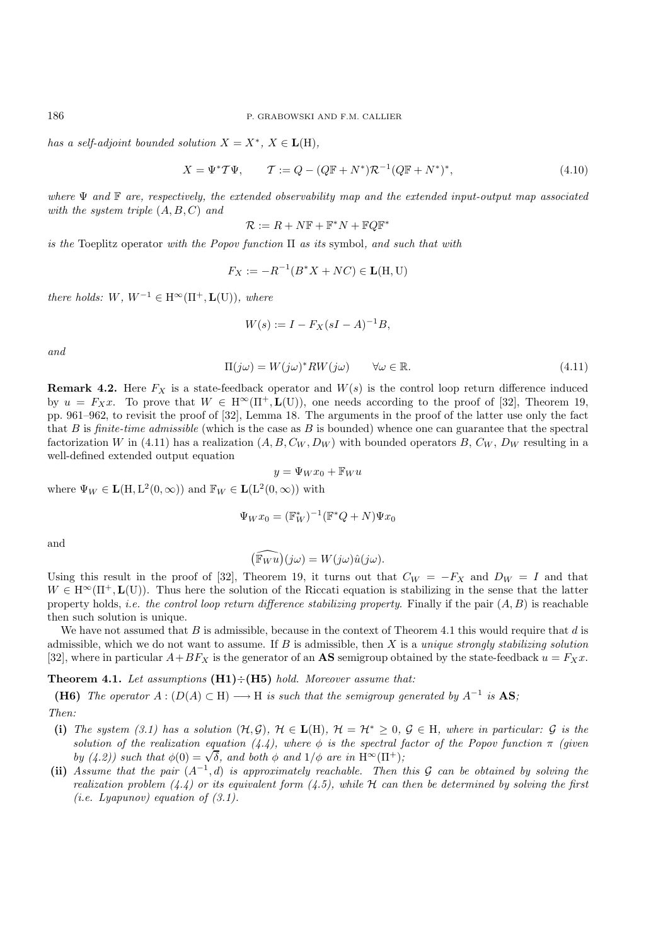*has a self-adjoint bounded solution*  $X = X^*$ ,  $X \in L(H)$ ,

$$
X = \Psi^* T \Psi, \qquad T := Q - (Q\mathbb{F} + N^*) \mathcal{R}^{-1} (Q\mathbb{F} + N^*)^*, \tag{4.10}
$$

*where* Ψ *and* F *are, respectively, the extended observability map and the extended input-output map associated with the system triple* (A, B, C) *and*

$$
\mathcal{R} := R + N\mathbb{F} + \mathbb{F}^*N + \mathbb{F}Q\mathbb{F}^*
$$

*is the* Toeplitz operator *with the Popov function* Π *as its* symbol*, and such that with*

$$
F_X := -R^{-1}(B^*X + NC) \in \mathbf{L}(\mathbf{H}, \mathbf{U})
$$

*there holds:*  $W, W^{-1} \in H^\infty(\Pi^+, \mathbf{L}(U))$ *, where* 

$$
W(s) := I - F_X(sI - A)^{-1}B,
$$

*and*

$$
\Pi(j\omega) = W(j\omega)^* R W(j\omega) \qquad \forall \omega \in \mathbb{R}.
$$
\n(4.11)

**Remark 4.2.** Here  $F_X$  is a state-feedback operator and  $W(s)$  is the control loop return difference induced by  $u = F_Xx$ . To prove that  $W \in H^\infty(\Pi^+, L(U))$ , one needs according to the proof of [32], Theorem 19, pp. 961–962, to revisit the proof of [32], Lemma 18. The arguments in the proof of the latter use only the fact that B is *finite-time admissible* (which is the case as B is bounded) whence one can guarantee that the spectral factorization W in (4.11) has a realization  $(A, B, C_W, D_W)$  with bounded operators B,  $C_W$ ,  $D_W$  resulting in a well-defined extended output equation

$$
y = \Psi_W x_0 + \mathbb{F}_W u
$$

where  $\Psi_W \in \mathbf{L}(\mathbf{H}, \mathbf{L}^2(0, \infty))$  and  $\mathbb{F}_W \in \mathbf{L}(\mathbf{L}^2(0, \infty))$  with

$$
\Psi_W x_0 = (\mathbb{F}_W^*)^{-1} (\mathbb{F}^* Q + N) \Psi x_0
$$

and

$$
\widehat{(\mathbb{F}_{W}u)}(j\omega) = W(j\omega)\hat{u}(j\omega).
$$

Using this result in the proof of [32], Theorem 19, it turns out that  $C_W = -F_X$  and  $D_W = I$  and that  $W \in H^{\infty}(\Pi^+, L(U)).$  Thus here the solution of the Riccati equation is stabilizing in the sense that the latter property holds, *i.e. the control loop return difference stabilizing property*. Finally if the pair (A, B) is reachable then such solution is unique.

We have not assumed that B is admissible, because in the context of Theorem 4.1 this would require that  $d$  is admissible, which we do not want to assume. If B is admissible, then X is a *unique strongly stabilizing solution* [32], where in particular  $A+BF_X$  is the generator of an **AS** semigroup obtained by the state-feedback  $u = F_Xx$ .

## **Theorem 4.1.** *Let assumptions* **(H1)**÷**(H5)** *hold. Moreover assume that:*

**(H6)** The operator  $A: (D(A) \subset H) \longrightarrow H$  is such that the semigroup generated by  $A^{-1}$  is **AS**; *Then:*

- (i) *The system (3.1) has a solution*  $(H, \mathcal{G})$ ,  $H \in L(H)$ ,  $H = H^* \geq 0$ ,  $\mathcal{G} \in H$ , where in particular:  $\mathcal{G}$  is the *solution of the realization equation (4.4), where*  $\phi$  *is the spectral factor of the Popov function*  $\pi$  *(given*) *by* (4.2)) such that  $\phi(0) = \sqrt{\delta}$ , and both  $\phi$  and  $1/\phi$  are in  $H^{\infty}(\Pi^{+})$ ;
- **(ii)** *Assume that the pair* (A−<sup>1</sup>, d) *is approximately reachable. Then this* G *can be obtained by solving the realization problem (4.4) or its equivalent form (4.5), while* H *can then be determined by solving the first (i.e. Lyapunov) equation of (3.1).*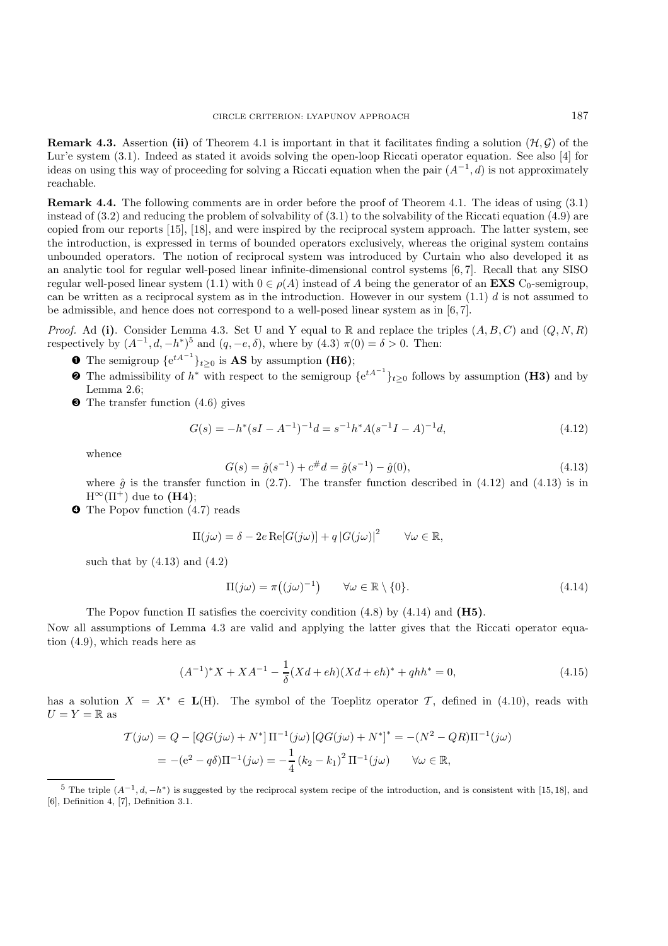**Remark 4.3.** Assertion (ii) of Theorem 4.1 is important in that it facilitates finding a solution  $(\mathcal{H}, \mathcal{G})$  of the Lur'e system (3.1). Indeed as stated it avoids solving the open-loop Riccati operator equation. See also [4] for ideas on using this way of proceeding for solving a Riccati equation when the pair  $(A^{-1}, d)$  is not approximately reachable.

**Remark 4.4.** The following comments are in order before the proof of Theorem 4.1. The ideas of using (3.1) instead of (3.2) and reducing the problem of solvability of (3.1) to the solvability of the Riccati equation (4.9) are copied from our reports [15], [18], and were inspired by the reciprocal system approach. The latter system, see the introduction, is expressed in terms of bounded operators exclusively, whereas the original system contains unbounded operators. The notion of reciprocal system was introduced by Curtain who also developed it as an analytic tool for regular well-posed linear infinite-dimensional control systems [6, 7]. Recall that any SISO regular well-posed linear system (1.1) with  $0 \in \rho(A)$  instead of A being the generator of an **EXS** C<sub>0</sub>-semigroup, can be written as a reciprocal system as in the introduction. However in our system  $(1.1)$  d is not assumed to be admissible, and hence does not correspond to a well-posed linear system as in [6, 7].

*Proof.* Ad (i). Consider Lemma 4.3. Set U and Y equal to R and replace the triples  $(A, B, C)$  and  $(Q, N, R)$ respectively by  $(A^{-1}, d, -h^*)^5$  and  $(q, -e, \delta)$ , where by  $(4.3) \pi(0) = \delta > 0$ . Then:

- **O** The semigroup  $\{e^{tA^{-1}}\}_{t\geq 0}$  is **AS** by assumption (**H6**);
- $\bullet$  The admissibility of  $h^*$  with respect to the semigroup  $\{e^{tA^{-1}}\}_{t\geq 0}$  follows by assumption **(H3)** and by Lemma 2.6;
- ➌ The transfer function (4.6) gives

$$
G(s) = -h^*(sI - A^{-1})^{-1}d = s^{-1}h^*A(s^{-1}I - A)^{-1}d,
$$
\n(4.12)

whence

$$
G(s) = \hat{g}(s^{-1}) + c^{\#}d = \hat{g}(s^{-1}) - \hat{g}(0),\tag{4.13}
$$

where  $\hat{g}$  is the transfer function in (2.7). The transfer function described in (4.12) and (4.13) is in  $H^{\infty}(\Pi^{+})$  due to **(H4)**;

➍ The Popov function (4.7) reads

$$
\Pi(j\omega) = \delta - 2e \operatorname{Re}[G(j\omega)] + q |G(j\omega)|^2 \qquad \forall \omega \in \mathbb{R},
$$

such that by  $(4.13)$  and  $(4.2)$ 

$$
\Pi(j\omega) = \pi((j\omega)^{-1}) \qquad \forall \omega \in \mathbb{R} \setminus \{0\}.
$$
\n(4.14)

The Popov function Π satisfies the coercivity condition (4.8) by (4.14) and **(H5)**.

Now all assumptions of Lemma 4.3 are valid and applying the latter gives that the Riccati operator equation (4.9), which reads here as

$$
(A^{-1})^*X + XA^{-1} - \frac{1}{\delta}(Xd + eh)(Xd + eh)^* + qhh^* = 0,
$$
\n(4.15)

has a solution  $X = X^* \in L(H)$ . The symbol of the Toeplitz operator T, defined in (4.10), reads with  $U = Y = \mathbb{R}$  as

$$
\mathcal{T}(j\omega) = Q - [QG(j\omega) + N^*] \Pi^{-1}(j\omega) [QG(j\omega) + N^*]^* = -(N^2 - QR)\Pi^{-1}(j\omega)
$$
  
= -(e<sup>2</sup> - q $\delta$ ) $\Pi^{-1}(j\omega) = -\frac{1}{4} (k_2 - k_1)^2 \Pi^{-1}(j\omega) \qquad \forall \omega \in \mathbb{R},$ 

<sup>&</sup>lt;sup>5</sup> The triple  $(A^{-1}, d, -h^*)$  is suggested by the reciprocal system recipe of the introduction, and is consistent with [15, 18], and [6], Definition 4, [7], Definition 3.1.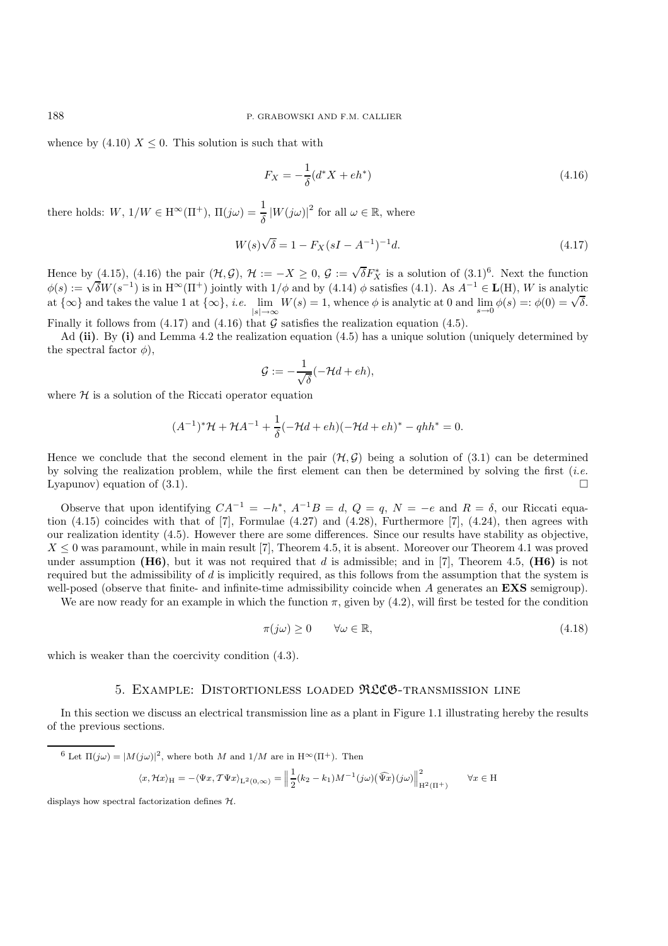whence by (4.10)  $X \leq 0$ . This solution is such that with

$$
F_X = -\frac{1}{\delta} (d^* X + e h^*)
$$
\n(4.16)

there holds:  $W$ ,  $1/W \in H^{\infty}(\Pi^+)$ ,  $\Pi(j\omega) = \frac{1}{\delta} |W(j\omega)|^2$  for all  $\omega \in \mathbb{R}$ , where

$$
W(s)\sqrt{\delta} = 1 - F_X(sI - A^{-1})^{-1}d.
$$
\n(4.17)

Hence by (4.15), (4.16) the pair  $(\mathcal{H}, \mathcal{G})$ ,  $\mathcal{H} := -X \geq 0$ ,  $\mathcal{G} := \sqrt{\delta} F_X^*$  is a solution of  $(3.1)^6$ . Next the function  $\phi(s) := \sqrt{\delta} W(s^{-1})$  is in  $H^{\infty}(\Pi^+)$  jointly with  $1/\phi$  and by (4.14)  $\phi$  satisfies (4.1) at  $\{\infty\}$  and takes the value 1 at  $\{\infty\}$ , *i.e.* lim  $\lim_{|s| \to \infty} W(s) = 1$ , whence  $\phi$  is analytic at 0 and  $\lim_{s \to 0} \phi(s) =: \phi(0) = \sqrt{\delta}$ .

Finally it follows from (4.17) and (4.16) that  $G$  satisfies the realization equation (4.5).

Ad **(ii)**. By **(i)** and Lemma 4.2 the realization equation (4.5) has a unique solution (uniquely determined by the spectral factor  $\phi$ ),

$$
\mathcal{G} := -\frac{1}{\sqrt{\delta}}(-\mathcal{H}d + eh),
$$

where  $H$  is a solution of the Riccati operator equation

$$
(A^{-1})^* \mathcal{H} + \mathcal{H} A^{-1} + \frac{1}{\delta} (-\mathcal{H}d + eh) (-\mathcal{H}d + eh)^* - qhh^* = 0.
$$

Hence we conclude that the second element in the pair  $(\mathcal{H}, \mathcal{G})$  being a solution of (3.1) can be determined by solving the realization problem, while the first element can then be determined by solving the first (*i.e.* Lyapunov) equation of  $(3.1)$ .

Observe that upon identifying  $CA^{-1} = -h^*$ ,  $A^{-1}B = d$ ,  $Q = q$ ,  $N = -e$  and  $R = \delta$ , our Riccati equation (4.15) coincides with that of [7], Formulae (4.27) and (4.28), Furthermore [7], (4.24), then agrees with our realization identity (4.5). However there are some differences. Since our results have stability as objective,  $X \leq 0$  was paramount, while in main result [7], Theorem 4.5, it is absent. Moreover our Theorem 4.1 was proved under assumption  $(H6)$ , but it was not required that d is admissible; and in [7], Theorem 4.5,  $(H6)$  is not required but the admissibility of  $d$  is implicitly required, as this follows from the assumption that the system is well-posed (observe that finite- and infinite-time admissibility coincide when A generates an **EXS** semigroup).

We are now ready for an example in which the function  $\pi$ , given by (4.2), will first be tested for the condition

$$
\pi(j\omega) \ge 0 \qquad \forall \omega \in \mathbb{R}, \tag{4.18}
$$

which is weaker than the coercivity condition (4.3).

#### 5. Example: Distortionless loaded RLCG-transmission line

In this section we discuss an electrical transmission line as a plant in Figure 1.1 illustrating hereby the results of the previous sections.

$$
^{6} \text{ Let } \Pi(j\omega) = |M(j\omega)|^2 \text{, where both } M \text{ and } 1/M \text{ are in } H^{\infty}(\Pi^+). \text{ Then}
$$

$$
\langle x, \mathcal{H}x \rangle_{\mathcal{H}} = -\langle \Psi x, \mathcal{T}\Psi x \rangle_{\mathcal{L}^2(0,\infty)} = \left\| \frac{1}{2}(k_2 - k_1)M^{-1}(j\omega)(\widehat{\Psi x})(j\omega) \right\|_{H^2(\Pi^+)}^2 \qquad \forall x \in \mathcal{H}
$$

displays how spectral factorization defines  $H$ .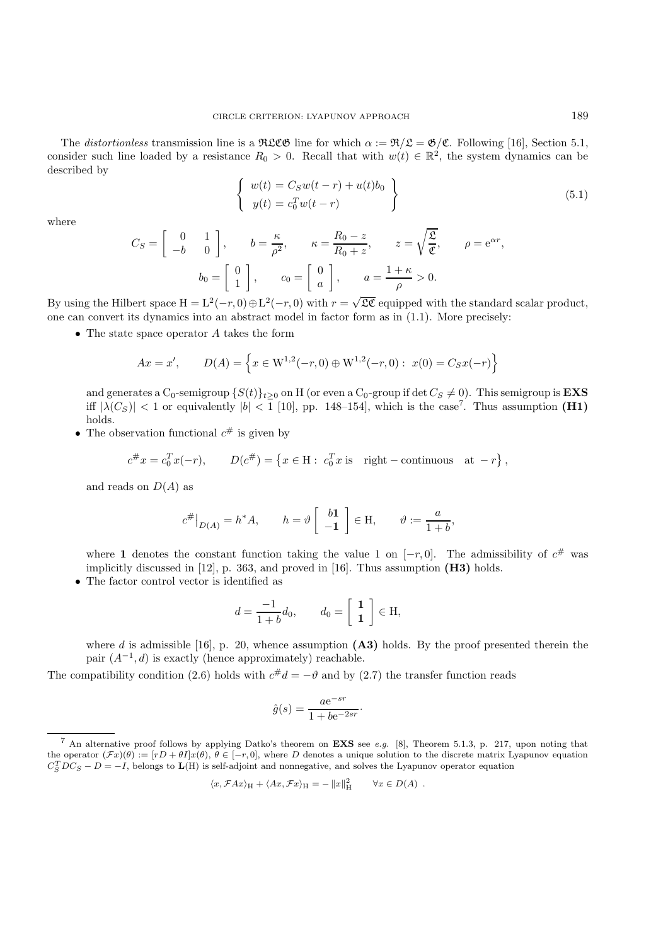The *distortionless* transmission line is a RLCG line for which  $\alpha := \Re \angle \mathcal{L} = \mathcal{B}/\mathcal{L}$ . Following [16], Section 5.1, consider such line loaded by a resistance  $R_0 > 0$ . Recall that with  $w(t) \in \mathbb{R}^2$ , the system dynamics can be described by

$$
\begin{cases}\nw(t) = C_S w(t-r) + u(t)b_0 \\
y(t) = c_0^T w(t-r)\n\end{cases}
$$
\n(5.1)

where

$$
C_S = \begin{bmatrix} 0 & 1 \\ -b & 0 \end{bmatrix}, \qquad b = \frac{\kappa}{\rho^2}, \qquad \kappa = \frac{R_0 - z}{R_0 + z}, \qquad z = \sqrt{\frac{\mathfrak{L}}{\mathfrak{C}}}, \qquad \rho = e^{\alpha r},
$$

$$
b_0 = \begin{bmatrix} 0 \\ 1 \end{bmatrix}, \qquad c_0 = \begin{bmatrix} 0 \\ a \end{bmatrix}, \qquad a = \frac{1 + \kappa}{\rho} > 0.
$$

By using the Hilbert space  $H = L^2(-r, 0) \oplus L^2(-r, 0)$  with  $r = \sqrt{\mathfrak{LC}}$  equipped with the standard scalar product, one can convert its dynamics into an abstract model in factor form as in (1.1). More precisely:

• The state space operator  $A$  takes the form

$$
Ax = x', \qquad D(A) = \left\{ x \in W^{1,2}(-r,0) \oplus W^{1,2}(-r,0) : x(0) = C_S x(-r) \right\}
$$

and generates a  $C_0$ -semigroup  $\{S(t)\}_{t\geq0}$  on H (or even a  $C_0$ -group if det  $C_S \neq 0$ ). This semigroup is **EXS** iff  $|\lambda(C_S)| < 1$  or equivalently  $|b| < 1$  [10], pp. 148–154], which is the case<sup>7</sup>. Thus assumption **(H1)** holds.

• The observation functional  $c^{\#}$  is given by

$$
c^{\#}x = c_0^T x(-r), \qquad D(c^{\#}) = \left\{ x \in \mathcal{H} : c_0^T x \text{ is } \text{ right}-\text{continuous} \text{ at } -r \right\},\
$$

and reads on  $D(A)$  as

$$
c^{\#}\big|_{D(A)} = h^*A, \qquad h = \vartheta \left[ \begin{array}{c} b\mathbf{1} \\ -\mathbf{1} \end{array} \right] \in \mathcal{H}, \qquad \vartheta := \frac{a}{1+b},
$$

where **1** denotes the constant function taking the value 1 on  $[-r, 0]$ . The admissibility of  $c^{\#}$  was implicitly discussed in [12], p. 363, and proved in [16]. Thus assumption **(H3)** holds.

• The factor control vector is identified as

$$
d = \frac{-1}{1+b}d_0, \qquad d_0 = \begin{bmatrix} 1 \\ 1 \end{bmatrix} \in \mathcal{H},
$$

where d is admissible [16], p. 20, whence assumption **(A3)** holds. By the proof presented therein the pair  $(A^{-1}, d)$  is exactly (hence approximately) reachable.

The compatibility condition (2.6) holds with  $c^{\#}d = -\vartheta$  and by (2.7) the transfer function reads

$$
\hat{g}(s) = \frac{a e^{-sr}}{1 + be^{-2sr}}.
$$

$$
\langle x, \mathcal{F}Ax \rangle_H + \langle Ax, \mathcal{F}x \rangle_H = -\|x\|_H^2 \qquad \forall x \in D(A) .
$$

<sup>7</sup> An alternative proof follows by applying Datko's theorem on **EXS** see e.g. [8], Theorem 5.1.3, p. 217, upon noting that the operator  $(\mathcal{F}x)(\theta) := [rD + \theta I]x(\theta), \theta \in [-r, 0]$ , where D denotes a unique solution to the discrete matrix Lyapunov equation  $C_S^T D C_S - D = -I$ , belongs to **L**(H) is self-adjoint and nonnegative, and solves the Lyapunov operator equation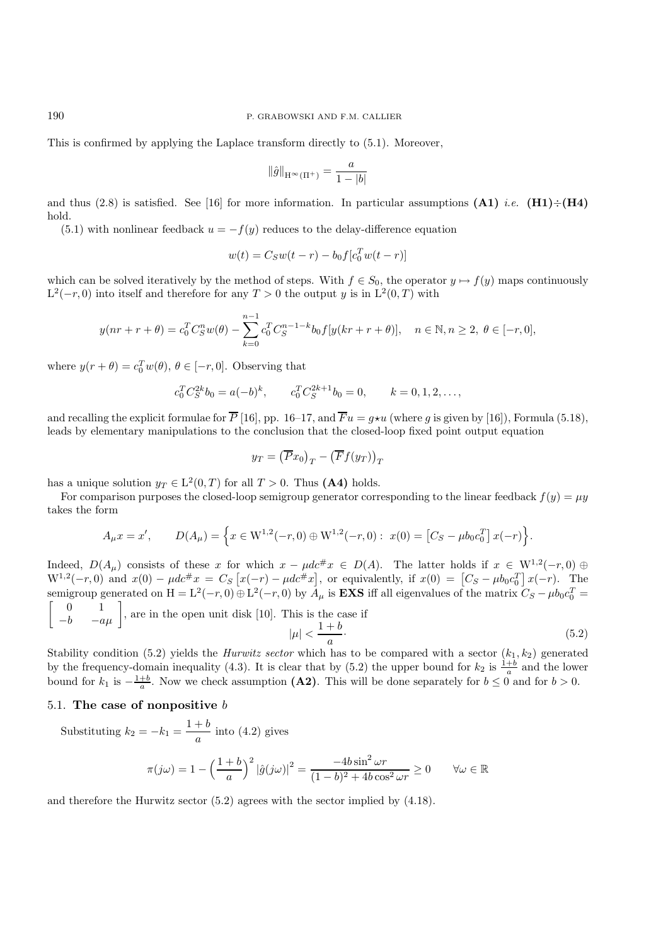This is confirmed by applying the Laplace transform directly to (5.1). Moreover,

$$
\|\hat{g}\|_{\mathcal{H}^\infty(\Pi^+)} = \frac{a}{1-|b|}
$$

and thus  $(2.8)$  is satisfied. See [16] for more information. In particular assumptions  $(A1)$  *i.e.*  $(H1) \div (H4)$ hold.

(5.1) with nonlinear feedback  $u = -f(y)$  reduces to the delay-difference equation

$$
w(t) = C_S w(t - r) - b_0 f[c_0^T w(t - r)]
$$

which can be solved iteratively by the method of steps. With  $f \in S_0$ , the operator  $y \mapsto f(y)$  maps continuously  $L^2(-r, 0)$  into itself and therefore for any  $T > 0$  the output y is in  $L^2(0, T)$  with

$$
y(nr+r+\theta) = c_0^T C_S^n w(\theta) - \sum_{k=0}^{n-1} c_0^T C_S^{n-1-k} b_0 f[y(kr+r+\theta)], \quad n \in \mathbb{N}, n \ge 2, \ \theta \in [-r, 0],
$$

where  $y(r + \theta) = c_0^T w(\theta), \theta \in [-r, 0]$ . Observing that

$$
c_0^T C_S^{2k} b_0 = a(-b)^k
$$
,  $c_0^T C_S^{2k+1} b_0 = 0$ ,  $k = 0, 1, 2, ...$ ,

and recalling the explicit formulae for  $\overline{P}$  [16], pp. 16–17, and  $\overline{F}u = g\star u$  (where g is given by [16]), Formula (5.18), leads by elementary manipulations to the conclusion that the closed-loop fixed point output equation

$$
y_T = (\overline{P}x_0)_T - (\overline{F}f(y_T))_T
$$

has a unique solution  $y_T \in L^2(0,T)$  for all  $T > 0$ . Thus (A4) holds.

For comparison purposes the closed-loop semigroup generator corresponding to the linear feedback  $f(y) = \mu y$ takes the form

$$
A_{\mu}x = x', \qquad D(A_{\mu}) = \left\{ x \in W^{1,2}(-r,0) \oplus W^{1,2}(-r,0) : x(0) = \left[ C_S - \mu b_0 c_0^T \right] x(-r) \right\}.
$$

Indeed,  $D(A_\mu)$  consists of these x for which  $x - \mu d c \# x \in D(A)$ . The latter holds if  $x \in W^{1,2}(-r,0)$  ⊕  $W^{1,2}(-r,0)$  and  $x(0) - \mu d c \# x = C_S [x(-r) - \mu d c \# x]$ , or equivalently, if  $x(0) = [C_S - \mu b_0 c_0^T] x(-r)$ . The semigroup generated on H =  $L^2(-r, 0) \oplus L^2(-r, 0)$  by  $A_\mu$  is **EXS** iff all eigenvalues of the matrix  $C_S - \mu b_0 c_0^T =$ <br>  $\begin{bmatrix} 0 & 1 \end{bmatrix}$  and in the same unit disk [10]. This is the same if  $\begin{bmatrix} 0 & 1 \end{bmatrix}$ 

$$
\begin{bmatrix} 0 & 1 \ -b & -a\mu \end{bmatrix}
$$
, are in the open unit disk [10]. This is the case if  $|\mu| < \frac{1+b}{a}$ . (5.2)

Stability condition (5.2) yields the *Hurwitz sector* which has to be compared with a sector  $(k_1, k_2)$  generated by the frequency-domain inequality (4.3). It is clear that by (5.2) the upper bound for  $k_2$  is  $\frac{1+b}{a}$  and the lower bound for  $k_1$  is  $-\frac{1+b}{a}$ . Now we check assumption **(A2)**. This will be done separately for  $b \le 0$  and for  $b > 0$ .

## 5.1. **The case of nonpositive** b

Substituting  $k_2 = -k_1 = \frac{1+b}{a}$  into (4.2) gives

$$
\pi(j\omega) = 1 - \left(\frac{1+b}{a}\right)^2 |\hat{g}(j\omega)|^2 = \frac{-4b\sin^2 \omega r}{(1-b)^2 + 4b\cos^2 \omega r} \ge 0 \qquad \forall \omega \in \mathbb{R}
$$

and therefore the Hurwitz sector (5.2) agrees with the sector implied by (4.18).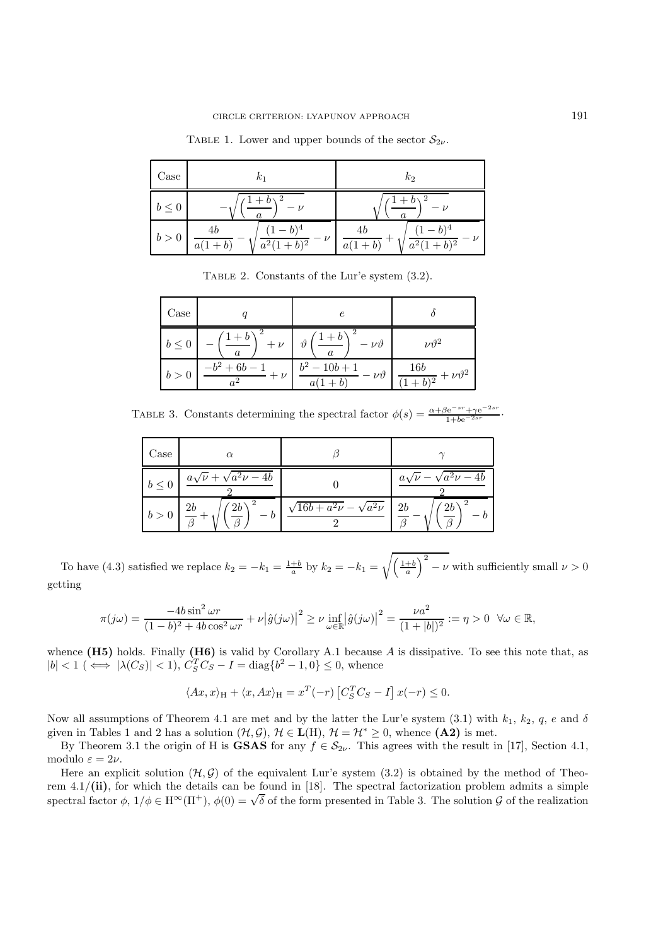| Case       | $k_1$                                                            | $k_2$                                                  |
|------------|------------------------------------------------------------------|--------------------------------------------------------|
| $b \leq 0$ | $1+b$<br>$\overline{2}$<br>$\alpha$                              | $1+b\chi^2$<br>$\alpha$                                |
| b > 0      | $(1-b)^4$<br>4 <sub>b</sub><br>$\nu$<br>$a^2(1+b)^2$<br>$a(1+b)$ | $(1-b)^4$<br>4b<br>$a^2(1+b)^2$<br>$\overline{a(1+b)}$ |

TABLE 1. Lower and upper bounds of the sector  $\mathcal{S}_{2\nu}$ .

Table 2. Constants of the Lur'e system (3.2).

| Case      |                            | $\epsilon$                                          |                                                 |
|-----------|----------------------------|-----------------------------------------------------|-------------------------------------------------|
| $b\leq 0$ | $+\nu$<br>$\alpha$         | $\vartheta$<br>$-\nu \vartheta$<br>$\boldsymbol{a}$ | $\nu \vartheta^2$                               |
| b >       | $-b^2 + 6b$ .<br>$+$ $\nu$ | $b^2 - 10b + 1$<br>$\nu \vartheta$<br>a(            | <b>16b</b><br>$\frac{1}{b^2} + \nu \vartheta^2$ |

TABLE 3. Constants determining the spectral factor  $\phi(s) = \frac{\alpha + \beta e^{-s r} + \gamma e^{-2s r}}{1 + be^{-2s r}}$ .

| Case       | $\alpha$                           |                                     |                                    |
|------------|------------------------------------|-------------------------------------|------------------------------------|
| $b \leq 0$ | $a\sqrt{\nu} + \sqrt{a^2\nu - 4b}$ |                                     | $a\sqrt{\nu} - \sqrt{a^2\nu - 4b}$ |
| b > 0      | $'$ (2b)<br>2b                     | $\sqrt{16b+a^2\nu} - \sqrt{a^2\nu}$ | $\ell$ 2b<br>$2\mathfrak b$        |

To have (4.3) satisfied we replace  $k_2 = -k_1 = \frac{1+b}{a}$  by  $k_2 = -k_1 =$  $\sqrt{\left(\frac{1+b}{a}\right)}$  $\big)$ <sup>2</sup> –  $\nu$  with sufficiently small  $\nu > 0$ getting

$$
\pi(j\omega) = \frac{-4b\sin^2 \omega r}{(1-b)^2 + 4b\cos^2 \omega r} + \nu |\hat{g}(j\omega)|^2 \ge \nu \inf_{\omega \in \mathbb{R}} |\hat{g}(j\omega)|^2 = \frac{\nu a^2}{(1+|b|)^2} := \eta > 0 \quad \forall \omega \in \mathbb{R},
$$

whence **(H5)** holds. Finally **(H6)** is valid by Corollary A.1 because A is dissipative. To see this note that, as  $|b| < 1 \ (\iff |\lambda(C_S)| < 1), C_S^T C_S - I = \text{diag}\{b^2 - 1, 0\} \leq 0$ , whence

$$
\langle Ax, x \rangle_{\mathcal{H}} + \langle x, Ax \rangle_{\mathcal{H}} = x^T(-r) \left[ C_S^T C_S - I \right] x(-r) \le 0.
$$

Now all assumptions of Theorem 4.1 are met and by the latter the Lur'e system (3.1) with  $k_1, k_2, q, e$  and  $\delta$ given in Tables 1 and 2 has a solution  $(\mathcal{H}, \mathcal{G}), \mathcal{H} \in \mathbf{L}(\mathbf{H}), \mathcal{H} = \mathcal{H}^* \geq 0$ , whence  $(\mathbf{A2})$  is met.

By Theorem 3.1 the origin of H is **GSAS** for any  $f \in S_{2\nu}$ . This agrees with the result in [17], Section 4.1, modulo  $\varepsilon = 2\nu$ .

Here an explicit solution  $(\mathcal{H}, \mathcal{G})$  of the equivalent Lur'e system  $(3.2)$  is obtained by the method of Theorem 4.1/**(ii)**, for which the details can be found in [18]. The spectral factorization problem admits a simple spectral factor  $\phi$ ,  $1/\phi \in H^{\infty}(\Pi^+)$ ,  $\phi(0) = \sqrt{\delta}$  of the form presented in Table 3. The solution G of the realization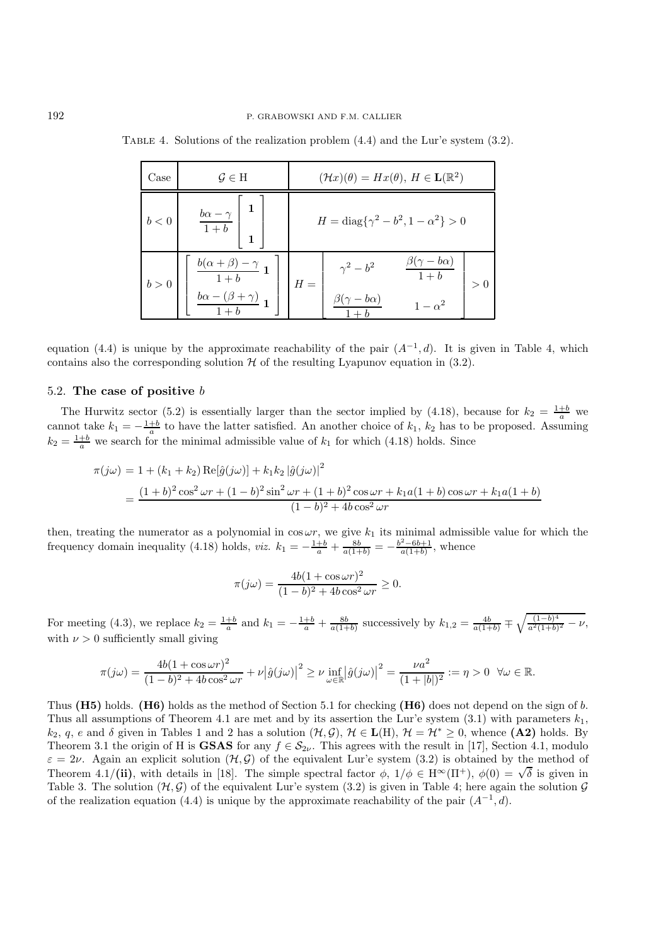| Case  | $\mathcal{G} \in \mathrm{H}$                                                                                                                   | $(\mathcal{H}x)(\theta) = Hx(\theta), H \in \mathbf{L}(\mathbb{R}^2)$                                             |
|-------|------------------------------------------------------------------------------------------------------------------------------------------------|-------------------------------------------------------------------------------------------------------------------|
| b<0   | $b\alpha - \gamma$<br>$\boxed{1+b}$                                                                                                            | $H = \text{diag}\{\gamma^2 - b^2, 1 - \alpha^2\} > 0$                                                             |
| b > 0 | $\frac{b(\alpha + \beta) - \gamma}{1 + b} \mathop{\mathbf{1}}\nolimits$<br>$\frac{b\alpha - (\beta + \gamma)}{2} \mathop{\mathbf{1}}\nolimits$ | $\beta(\gamma - b\alpha)$<br>$\gamma^2 - b^2$<br>$1+b$<br>$H =$<br>> 0<br>$\beta(\gamma-b\alpha)$<br>$1-\alpha^2$ |

Table 4. Solutions of the realization problem (4.4) and the Lur'e system (3.2).

equation (4.4) is unique by the approximate reachability of the pair  $(A^{-1}, d)$ . It is given in Table 4, which contains also the corresponding solution  $H$  of the resulting Lyapunov equation in (3.2).

## 5.2. **The case of positive** b

The Hurwitz sector (5.2) is essentially larger than the sector implied by (4.18), because for  $k_2 = \frac{1+b}{a}$  we cannot take  $k_1 = -\frac{1+b}{a}$  to have the latter satisfied. An another choice of  $k_1$ ,  $k_2$  has to be proposed. Assuming  $k_2 = \frac{1+b}{a}$  we search for the minimal admissible value of  $k_1$  for which (4.18) holds. Since

$$
\pi(j\omega) = 1 + (k_1 + k_2) \operatorname{Re}[\hat{g}(j\omega)] + k_1 k_2 |\hat{g}(j\omega)|^2
$$
  
= 
$$
\frac{(1+b)^2 \cos^2 \omega r + (1-b)^2 \sin^2 \omega r + (1+b)^2 \cos \omega r + k_1 a(1+b) \cos \omega r + k_1 a(1+b)}{(1-b)^2 + 4b \cos^2 \omega r}
$$

then, treating the numerator as a polynomial in  $\cos \omega r$ , we give  $k_1$  its minimal admissible value for which the frequency domain inequality (4.18) holds, *viz.*  $k_1 = -\frac{1+b}{a} + \frac{8b}{a(1+b)} = -\frac{b^2 - 6b + 1}{a(1+b)}$ , whence

$$
\pi(j\omega) = \frac{4b(1+\cos\omega r)^2}{(1-b)^2 + 4b\cos^2\omega r} \ge 0.
$$

For meeting (4.3), we replace  $k_2 = \frac{1+b}{a}$  and  $k_1 = -\frac{1+b}{a} + \frac{8b}{a(1+b)}$  successively by  $k_{1,2} = \frac{4b}{a(1+b)} \mp \sqrt{\frac{(1-b)^4}{a^2(1+b)^2} - \nu}$ , with  $\nu > 0$  sufficiently small giving

$$
\pi(j\omega) = \frac{4b(1+\cos\omega r)^2}{(1-b)^2+4b\cos^2\omega r} + \nu|\hat{g}(j\omega)|^2 \ge \nu \inf_{\omega \in \mathbb{R}} |\hat{g}(j\omega)|^2 = \frac{\nu a^2}{(1+|b|)^2} := \eta > 0 \quad \forall \omega \in \mathbb{R}.
$$

Thus **(H5)** holds. **(H6)** holds as the method of Section 5.1 for checking **(H6)** does not depend on the sign of b. Thus all assumptions of Theorem 4.1 are met and by its assertion the Lur'e system (3.1) with parameters  $k_1$ , k<sub>2</sub>, q, e and  $\delta$  given in Tables 1 and 2 has a solution  $(\mathcal{H}, \mathcal{G}), \mathcal{H} \in L(H), \mathcal{H} = \mathcal{H}^* \geq 0$ , whence (A2) holds. By Theorem 3.1 the origin of H is **GSAS** for any  $f \in S_{2\nu}$ . This agrees with the result in [17], Section 4.1, modulo  $\varepsilon = 2\nu$ . Again an explicit solution  $(\mathcal{H}, \mathcal{G})$  of the equivalent Lur'e system (3.2) is obtained by the method of  $\varepsilon = 2\nu$ . Again an explicit solution (*i*, *y*) or the equivalent Eur e system (3.2) is obtained by the method of Theorem 4.1/(**ii**), with details in [18]. The simple spectral factor  $\phi$ ,  $1/\phi \in H^{\infty}(\Pi^{+})$ ,  $\phi(0) = \sqrt{\$ Table 3. The solution  $(\mathcal{H}, \mathcal{G})$  of the equivalent Lur'e system (3.2) is given in Table 4; here again the solution  $\mathcal{G}$ of the realization equation (4.4) is unique by the approximate reachability of the pair  $(A^{-1}, d)$ .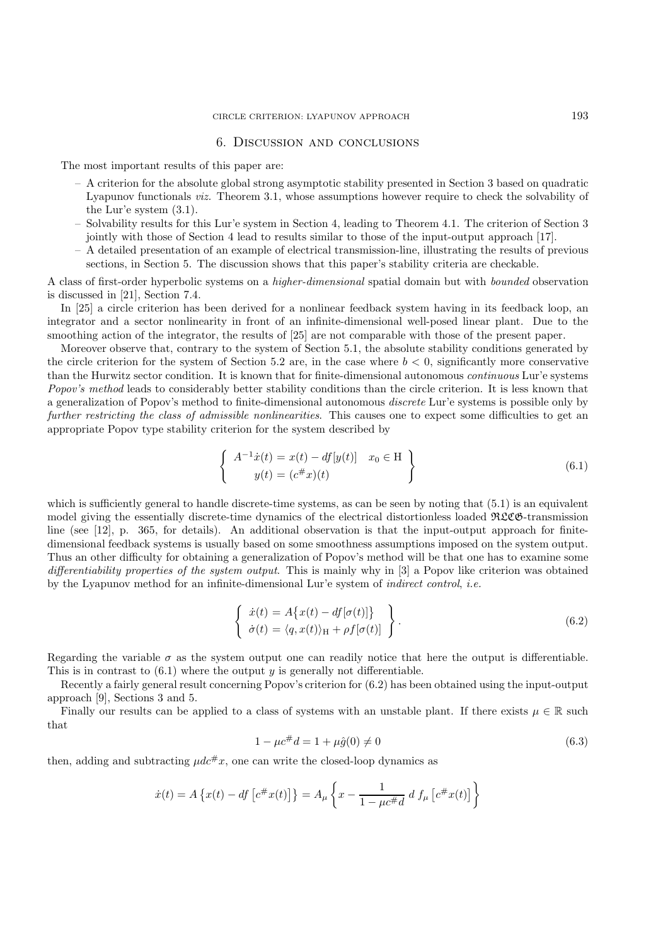## 6. Discussion and conclusions

The most important results of this paper are:

- A criterion for the absolute global strong asymptotic stability presented in Section 3 based on quadratic Lyapunov functionals *viz.* Theorem 3.1, whose assumptions however require to check the solvability of the Lur'e system (3.1).
- Solvability results for this Lur'e system in Section 4, leading to Theorem 4.1. The criterion of Section 3 jointly with those of Section 4 lead to results similar to those of the input-output approach [17].
- A detailed presentation of an example of electrical transmission-line, illustrating the results of previous sections, in Section 5. The discussion shows that this paper's stability criteria are checkable.

A class of first-order hyperbolic systems on a *higher-dimensional* spatial domain but with *bounded* observation is discussed in [21], Section 7.4.

In [25] a circle criterion has been derived for a nonlinear feedback system having in its feedback loop, an integrator and a sector nonlinearity in front of an infinite-dimensional well-posed linear plant. Due to the smoothing action of the integrator, the results of [25] are not comparable with those of the present paper.

Moreover observe that, contrary to the system of Section 5.1, the absolute stability conditions generated by the circle criterion for the system of Section 5.2 are, in the case where  $b < 0$ , significantly more conservative than the Hurwitz sector condition. It is known that for finite-dimensional autonomous *continuous* Lur'e systems *Popov's method* leads to considerably better stability conditions than the circle criterion. It is less known that a generalization of Popov's method to finite-dimensional autonomous *discrete* Lur'e systems is possible only by *further restricting the class of admissible nonlinearities*. This causes one to expect some difficulties to get an appropriate Popov type stability criterion for the system described by

$$
\begin{cases}\nA^{-1}\dot{x}(t) = x(t) - df[y(t)] & x_0 \in \mathcal{H} \\
y(t) = (c^{\#}x)(t)\n\end{cases}
$$
\n(6.1)

which is sufficiently general to handle discrete-time systems, as can be seen by noting that  $(5.1)$  is an equivalent model giving the essentially discrete-time dynamics of the electrical distortionless loaded RLCG-transmission line (see [12], p. 365, for details). An additional observation is that the input-output approach for finitedimensional feedback systems is usually based on some smoothness assumptions imposed on the system output. Thus an other difficulty for obtaining a generalization of Popov's method will be that one has to examine some *differentiability properties of the system output*. This is mainly why in [3] a Popov like criterion was obtained by the Lyapunov method for an infinite-dimensional Lur'e system of *indirect control*, *i.e.*

$$
\begin{cases}\n\dot{x}(t) = A\{x(t) - df[\sigma(t)]\} \\
\dot{\sigma}(t) = \langle q, x(t) \rangle_H + \rho f[\sigma(t)]\n\end{cases}.
$$
\n(6.2)

Regarding the variable  $\sigma$  as the system output one can readily notice that here the output is differentiable. This is in contrast to  $(6.1)$  where the output y is generally not differentiable.

Recently a fairly general result concerning Popov's criterion for (6.2) has been obtained using the input-output approach [9], Sections 3 and 5.

Finally our results can be applied to a class of systems with an unstable plant. If there exists  $\mu \in \mathbb{R}$  such that

$$
1 - \mu c^{\#} d = 1 + \mu \hat{g}(0) \neq 0 \tag{6.3}
$$

then, adding and subtracting  $\mu d\varepsilon^{\#}x$ , one can write the closed-loop dynamics as

$$
\dot{x}(t) = A \{ x(t) - df \left[ c^{\#} x(t) \right] \} = A_{\mu} \left\{ x - \frac{1}{1 - \mu c^{\#} d} d f_{\mu} \left[ c^{\#} x(t) \right] \right\}
$$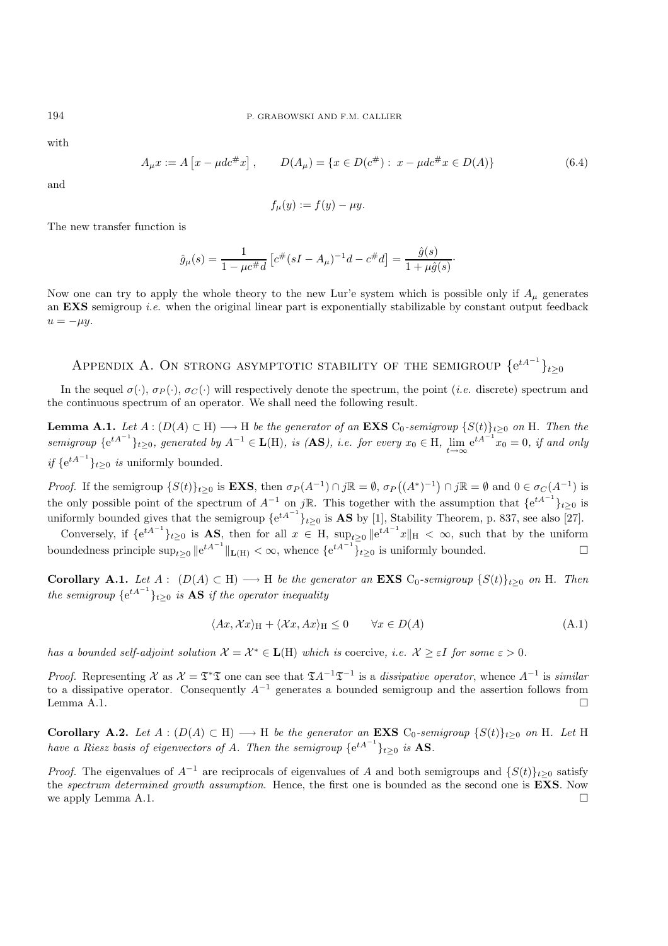with

$$
A_{\mu}x := A[x - \mu dc^{\#}x], \qquad D(A_{\mu}) = \{x \in D(c^{\#}) : x - \mu dc^{\#}x \in D(A)\}
$$
(6.4)

and

$$
f_{\mu}(y) := f(y) - \mu y.
$$

The new transfer function is

$$
\hat{g}_{\mu}(s) = \frac{1}{1 - \mu c^{\#} d} \left[ c^{\#} (sI - A_{\mu})^{-1} d - c^{\#} d \right] = \frac{\hat{g}(s)}{1 + \mu \hat{g}(s)}.
$$

Now one can try to apply the whole theory to the new Lur'e system which is possible only if  $A_\mu$  generates an **EXS** semigroup *i.e.* when the original linear part is exponentially stabilizable by constant output feedback  $u = -\mu y.$ 

# APPENDIX A. ON STRONG ASYMPTOTIC STABILITY OF THE SEMIGROUP  $\{e^{tA^{-1}}\}_{t\geq 0}$

In the sequel  $\sigma(\cdot)$ ,  $\sigma_P(\cdot)$ ,  $\sigma_C(\cdot)$  will respectively denote the spectrum, the point *(i.e.* discrete) spectrum and the continuous spectrum of an operator. We shall need the following result.

**Lemma A.1.** *Let*  $A : (D(A) \subset H) \longrightarrow H$  *be the generator of an* **EXS**  $C_0$ -semigroup  $\{S(t)\}_{t\geq 0}$  *on* H. Then the  $semigroup \{e^{tA^{-1}}\}_{t\geq 0}$ , generated by  $A^{-1} \in \mathbf{L}(\mathbf{H})$ , is  $(\mathbf{AS})$ , i.e. for every  $x_0 \in \mathbf{H}$ ,  $\lim_{t\to\infty} e^{tA^{-1}}x_0 = 0$ , if and only *if* { $e^{tA^{-1}}$ }<sub>*t*≥0</sub> *is* uniformly bounded.

*Proof.* If the semigroup  $\{S(t)\}_{t\geq 0}$  is **EXS**, then  $\sigma_P(A^{-1}) \cap j\mathbb{R} = \emptyset$ ,  $\sigma_P((A^*)^{-1}) \cap j\mathbb{R} = \emptyset$  and  $0 \in \sigma_C(A^{-1})$  is the only possible point of the spectrum of  $A^{-1}$  on jR. This together with the assumption that  $\{e^{tA^{-1}}\}_{t\geq 0}$  is uniformly bounded gives that the semigroup  $\{e^{tA^{-1}}\}_{t\geq 0}$  is **AS** by [1], Stability Theorem, p. 837, see also [27].

Conversely, if  $\{e^{tA^{-1}}\}_{t\geq 0}$  is **AS**, then for all  $x \in H$ ,  $\sup_{t\geq 0} \|e^{tA^{-1}}x\|_{H} < \infty$ , such that by the uniform boundedness principle  $\sup_{t\geq 0} ||e^{tA^{-1}}||_{\mathbf{L}(H)} < \infty$ , whence  $\{e^{tA^{-1}}\}_{t\geq 0}$  is uniformly bounded.  $\Box$ 

**Corollary A.1.** *Let*  $A: (D(A) \subset H) \longrightarrow H$  *be the generator an* **EXS**  $C_0$ -semigroup  $\{S(t)\}_{t\geq 0}$  *on* H. Then *the semigroup*  ${e^{tA^{-1}}}_{t\geq 0}$  *is* **AS** *if the operator inequality* 

$$
\langle Ax, \mathcal{X}x \rangle_{\mathcal{H}} + \langle \mathcal{X}x, Ax \rangle_{\mathcal{H}} \le 0 \qquad \forall x \in D(A)
$$
\n
$$
(A.1)
$$

*has a bounded self-adjoint solution*  $\mathcal{X} = \mathcal{X}^* \in \mathbf{L}(\mathbf{H})$  *which is* coercive, *i.e.*  $\mathcal{X} \geq \varepsilon I$  *for some*  $\varepsilon > 0$ *.* 

*Proof.* Representing X as  $\mathcal{X} = \mathfrak{T}^*\mathfrak{T}$  one can see that  $\mathfrak{T}A^{-1}\mathfrak{T}^{-1}$  is a *dissipative operator*, whence  $A^{-1}$  is *similar* to a dissipative operator. Consequently  $A^{-1}$  generates a bounded semigroup and the assertion follows from Lemma A.1.  $\Box$ 

**Corollary A.2.** *Let*  $A : (D(A) \subset H) \longrightarrow H$  *be the generator an* **EXS**  $C_0$ -semigroup  $\{S(t)\}_{t>0}$  *on* H. Let H *have a Riesz basis of eigenvectors of A. Then the semigroup*  $\{e^{tA^{-1}}\}_{t\geq 0}$  *is* **AS***.* 

*Proof.* The eigenvalues of  $A^{-1}$  are reciprocals of eigenvalues of A and both semigroups and  $\{S(t)\}_{t\geq0}$  satisfy the *spectrum determined growth assumption*. Hence, the first one is bounded as the second one is **EXS**. Now we apply Lemma A.1.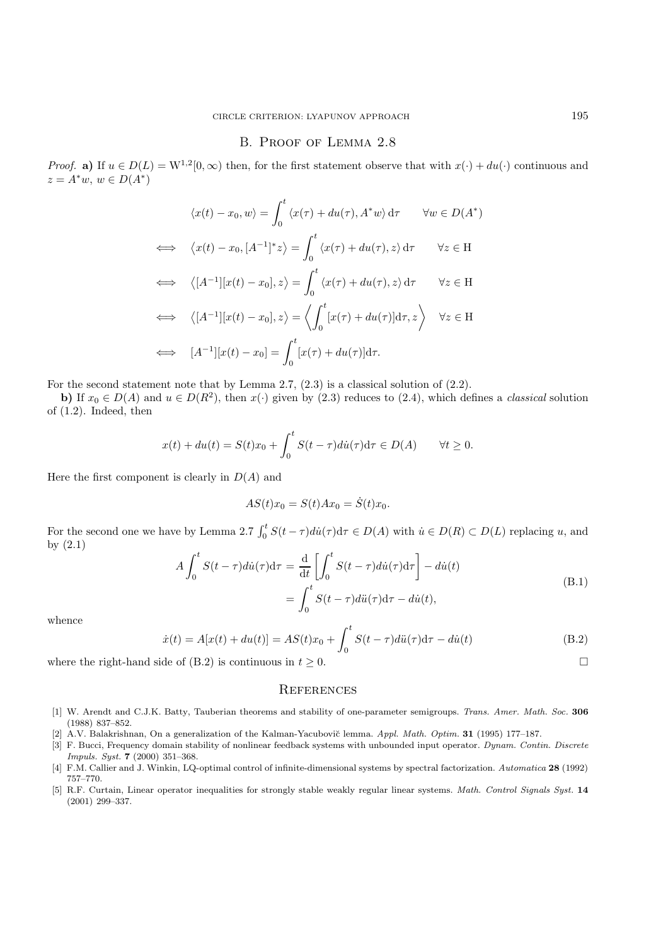## B. Proof of Lemma 2.8

*Proof.* **a**) If  $u \in D(L) = W^{1,2}[0,\infty)$  then, for the first statement observe that with  $x(\cdot) + du(\cdot)$  continuous and  $z = A^*w, w \in D(A^*)$ 

$$
\langle x(t) - x_0, w \rangle = \int_0^t \langle x(\tau) + du(\tau), A^*w \rangle d\tau \quad \forall w \in D(A^*)
$$
  
\n
$$
\iff \langle x(t) - x_0, [A^{-1}]^* z \rangle = \int_0^t \langle x(\tau) + du(\tau), z \rangle d\tau \quad \forall z \in H
$$
  
\n
$$
\iff \langle [A^{-1}][x(t) - x_0], z \rangle = \int_0^t \langle x(\tau) + du(\tau), z \rangle d\tau \quad \forall z \in H
$$
  
\n
$$
\iff \langle [A^{-1}][x(t) - x_0], z \rangle = \langle \int_0^t [x(\tau) + du(\tau)] d\tau, z \rangle \quad \forall z \in H
$$
  
\n
$$
\iff [A^{-1}][x(t) - x_0] = \int_0^t [x(\tau) + du(\tau)] d\tau.
$$

For the second statement note that by Lemma 2.7, (2.3) is a classical solution of (2.2).

**b)** If  $x_0 \in D(A)$  and  $u \in D(R^2)$ , then  $x(\cdot)$  given by (2.3) reduces to (2.4), which defines a *classical* solution of (1.2). Indeed, then

$$
x(t) + du(t) = S(t)x_0 + \int_0^t S(t - \tau)di(\tau)d\tau \in D(A) \qquad \forall t \ge 0.
$$

Here the first component is clearly in  $D(A)$  and

$$
AS(t)x_0 = S(t)Ax_0 = \dot{S}(t)x_0.
$$

For the second one we have by Lemma 2.7  $\int_0^t S(t-\tau)di(\tau)d\tau \in D(A)$  with  $\dot{u} \in D(R) \subset D(L)$  replacing u, and by (2.1)

$$
A \int_0^t S(t-\tau) \, du(\tau) \, d\tau = \frac{d}{dt} \left[ \int_0^t S(t-\tau) \, du(\tau) \, d\tau \right] - \, du(t)
$$
\n
$$
= \int_0^t S(t-\tau) \, du(\tau) \, d\tau - \, du(t), \tag{B.1}
$$

whence

$$
\dot{x}(t) = A[x(t) + du(t)] = AS(t)x_0 + \int_0^t S(t - \tau)di(\tau)d\tau - di(t)
$$
\n(B.2)

where the right-hand side of (B.2) is continuous in  $t \geq 0$ .

### **REFERENCES**

- [1] W. Arendt and C.J.K. Batty, Tauberian theorems and stability of one-parameter semigroups. Trans. Amer. Math. Soc. **306** (1988) 837–852.
- [2] A.V. Balakrishnan, On a generalization of the Kalman-Yacubovi˘c lemma. Appl. Math. Optim. **31** (1995) 177–187.
- [3] F. Bucci, Frequency domain stability of nonlinear feedback systems with unbounded input operator. Dynam. Contin. Discrete Impuls. Syst. **7** (2000) 351–368.
- [4] F.M. Callier and J. Winkin, LQ-optimal control of infinite-dimensional systems by spectral factorization. Automatica **28** (1992) 757–770.
- [5] R.F. Curtain, Linear operator inequalities for strongly stable weakly regular linear systems. Math. Control Signals Syst. **14** (2001) 299–337.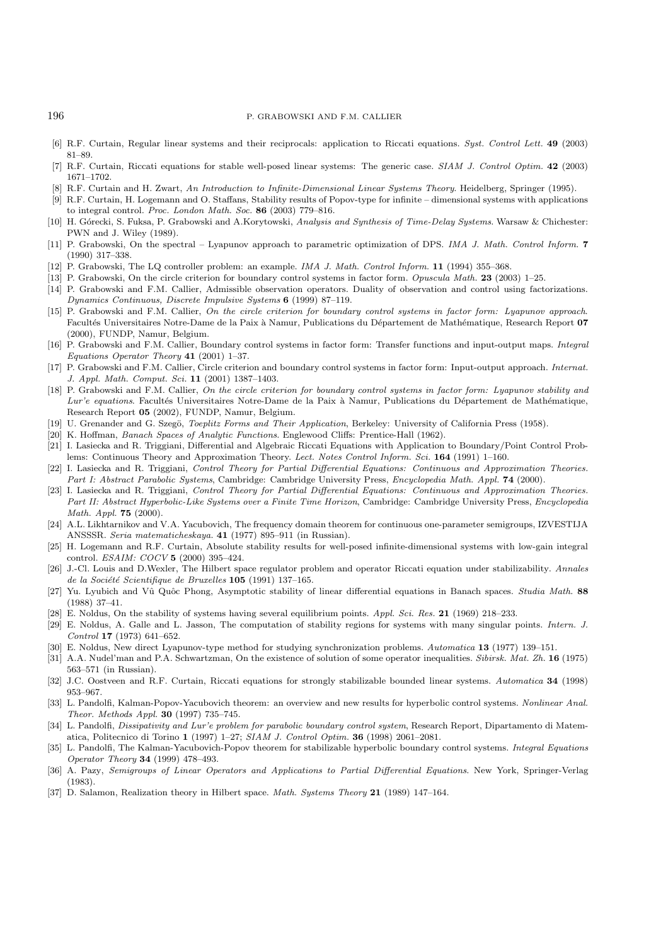#### 196 P. GRABOWSKI AND F.M. CALLIER

- [6] R.F. Curtain, Regular linear systems and their reciprocals: application to Riccati equations. Syst. Control Lett. **49** (2003) 81–89.
- [7] R.F. Curtain, Riccati equations for stable well-posed linear systems: The generic case. SIAM J. Control Optim. **42** (2003) 1671–1702.
- [8] R.F. Curtain and H. Zwart, An Introduction to Infinite-Dimensional Linear Systems Theory. Heidelberg, Springer (1995).
- [9] R.F. Curtain, H. Logemann and O. Staffans, Stability results of Popov-type for infinite dimensional systems with applications to integral control. Proc. London Math. Soc. **86** (2003) 779–816.
- [10] H. Górecki, S. Fuksa, P. Grabowski and A.Korytowski, Analysis and Synthesis of Time-Delay Systems. Warsaw & Chichester: PWN and J. Wiley (1989).
- [11] P. Grabowski, On the spectral Lyapunov approach to parametric optimization of DPS. IMA J. Math. Control Inform. **7** (1990) 317–338.
- [12] P. Grabowski, The LQ controller problem: an example. IMA J. Math. Control Inform. **11** (1994) 355–368.
- [13] P. Grabowski, On the circle criterion for boundary control systems in factor form. Opuscula Math. **23** (2003) 1–25.
- [14] P. Grabowski and F.M. Callier, Admissible observation operators. Duality of observation and control using factorizations. Dynamics Continuous, Discrete Impulsive Systems **6** (1999) 87–119.
- [15] P. Grabowski and F.M. Callier, On the circle criterion for boundary control systems in factor form: Lyapunov approach. Facultés Universitaires Notre-Dame de la Paix à Namur, Publications du Département de Mathématique, Research Report 07 (2000), FUNDP, Namur, Belgium.
- [16] P. Grabowski and F.M. Callier, Boundary control systems in factor form: Transfer functions and input-output maps. Integral Equations Operator Theory **41** (2001) 1–37.
- [17] P. Grabowski and F.M. Callier, Circle criterion and boundary control systems in factor form: Input-output approach. Internat. J. Appl. Math. Comput. Sci. **11** (2001) 1387–1403.
- [18] P. Grabowski and F.M. Callier, On the circle criterion for boundary control systems in factor form: Lyapunov stability and Lur'e equations. Facultés Universitaires Notre-Dame de la Paix à Namur, Publications du Département de Mathématique, Research Report **05** (2002), FUNDP, Namur, Belgium.
- [19] U. Grenander and G. Szegö, Toeplitz Forms and Their Application, Berkeley: University of California Press (1958).
- [20] K. Hoffman, Banach Spaces of Analytic Functions. Englewood Cliffs: Prentice-Hall (1962).
- [21] I. Lasiecka and R. Triggiani, Differential and Algebraic Riccati Equations with Application to Boundary/Point Control Problems: Continuous Theory and Approximation Theory. Lect. Notes Control Inform. Sci. **164** (1991) 1–160.
- [22] I. Lasiecka and R. Triggiani, Control Theory for Partial Differential Equations: Continuous and Approximation Theories. Part I: Abstract Parabolic Systems, Cambridge: Cambridge University Press, Encyclopedia Math. Appl. **74** (2000).
- [23] I. Lasiecka and R. Triggiani, Control Theory for Partial Differential Equations: Continuous and Approximation Theories. Part II: Abstract Hyperbolic-Like Systems over a Finite Time Horizon, Cambridge: Cambridge University Press, Encyclopedia Math. Appl. **75** (2000).
- [24] A.L. Likhtarnikov and V.A. Yacubovich, The frequency domain theorem for continuous one-parameter semigroups, IZVESTIJA ANSSSR. Seria matematicheskaya. **41** (1977) 895–911 (in Russian).
- [25] H. Logemann and R.F. Curtain, Absolute stability results for well-posed infinite-dimensional systems with low-gain integral control. ESAIM: COCV **5** (2000) 395–424.
- [26] J.-Cl. Louis and D.Wexler, The Hilbert space regulator problem and operator Riccati equation under stabilizability. Annales de la Société Scientifique de Bruxelles 105 (1991) 137-165.
- [27] Yu. Lyubich and Vû Quôc Phong, Asymptotic stability of linear differential equations in Banach spaces. Studia Math. 88 (1988) 37–41.
- [28] E. Noldus, On the stability of systems having several equilibrium points. Appl. Sci. Res. **21** (1969) 218–233.
- [29] E. Noldus, A. Galle and L. Jasson, The computation of stability regions for systems with many singular points. Intern. J. Control **17** (1973) 641–652.
- [30] E. Noldus, New direct Lyapunov-type method for studying synchronization problems. Automatica **13** (1977) 139–151.
- [31] A.A. Nudel'man and P.A. Schwartzman, On the existence of solution of some operator inequalities. Sibirsk. Mat. Zh. **16** (1975) 563–571 (in Russian).
- [32] J.C. Oostveen and R.F. Curtain, Riccati equations for strongly stabilizable bounded linear systems. Automatica **34** (1998) 953–967.
- [33] L. Pandolfi, Kalman-Popov-Yacubovich theorem: an overview and new results for hyperbolic control systems. Nonlinear Anal. Theor. Methods Appl. **30** (1997) 735–745.
- [34] L. Pandolfi, Dissipativity and Lur'e problem for parabolic boundary control system, Research Report, Dipartamento di Matematica, Politecnico di Torino **1** (1997) 1–27; SIAM J. Control Optim. **36** (1998) 2061–2081.
- [35] L. Pandolfi, The Kalman-Yacubovich-Popov theorem for stabilizable hyperbolic boundary control systems. *Integral Equations* Operator Theory **34** (1999) 478–493.
- [36] A. Pazy, Semigroups of Linear Operators and Applications to Partial Differential Equations. New York, Springer-Verlag (1983).
- [37] D. Salamon, Realization theory in Hilbert space. Math. Systems Theory **21** (1989) 147–164.